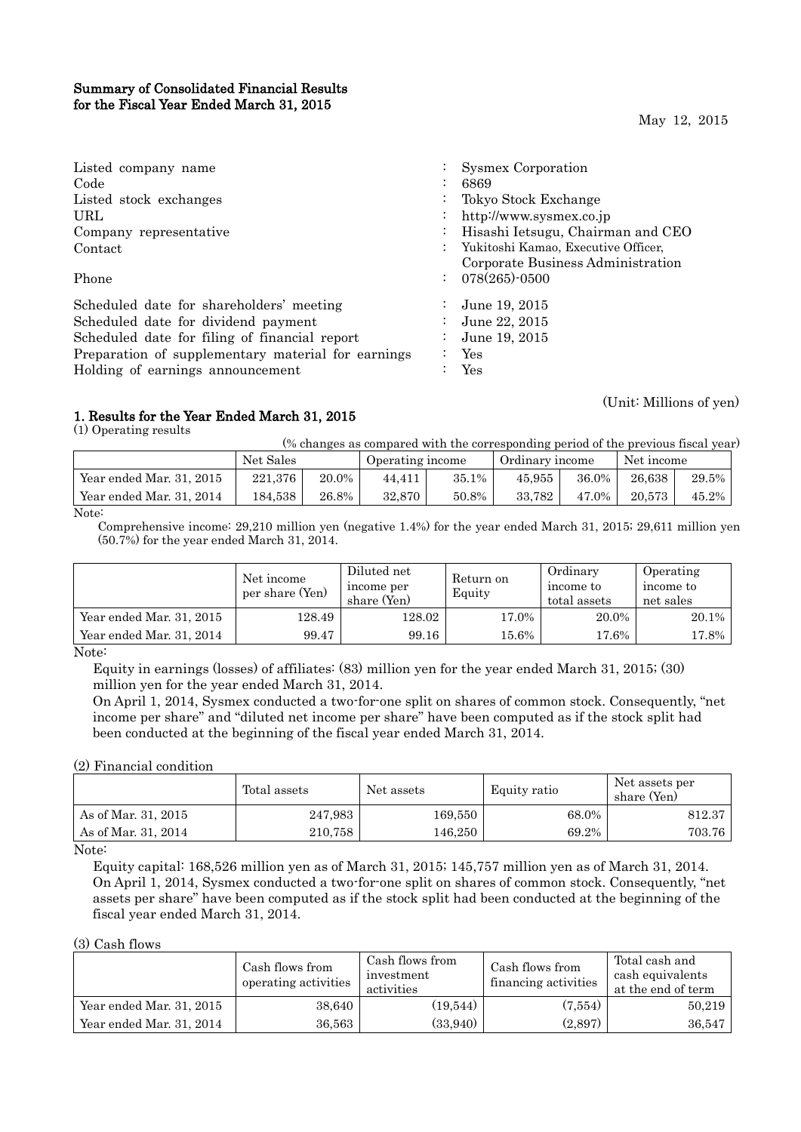## Summary of Consolidated Financial Results for the Fiscal Year Ended March 31, 2015

May 12, 2015

| Listed company name<br>Code<br>Listed stock exchanges                                  | $\ddot{\phantom{0}}$<br>$\ddot{\phantom{0}}$<br>$\bullet$ | Sysmex Corporation<br>6869<br>Tokyo Stock Exchange                                                  |
|----------------------------------------------------------------------------------------|-----------------------------------------------------------|-----------------------------------------------------------------------------------------------------|
| URL<br>Company representative<br>Contact                                               | $\bullet$<br>$\ddot{\phantom{0}}$                         | http://www.sysmex.co.jp<br>Hisashi Ietsugu, Chairman and CEO<br>Yukitoshi Kamao, Executive Officer, |
| Phone                                                                                  |                                                           | Corporate Business Administration<br>$: 078(265) \cdot 0500$                                        |
| Scheduled date for shareholders' meeting                                               |                                                           | June 19, 2015                                                                                       |
| Scheduled date for dividend payment<br>Scheduled date for filing of financial report   | $\bullet$<br>$\bullet$                                    | June 22, 2015<br>June 19, 2015                                                                      |
| Preparation of supplementary material for earnings<br>Holding of earnings announcement |                                                           | Yes<br>Yes                                                                                          |

## 1. Results for the Year Ended March 31, 2015

(1) Operating results

(Unit: Millions of yen)

| (% changes as compared with the corresponding period of the previous fiscal year) |  |  |
|-----------------------------------------------------------------------------------|--|--|
|                                                                                   |  |  |

|                          | Net Sales |       | Operating income |       | Ordinary income |       | Net income |       |
|--------------------------|-----------|-------|------------------|-------|-----------------|-------|------------|-------|
| Year ended Mar. 31, 2015 | 221,376   | 20.0% | 44.411           | 35.1% | 45.955          | 36.0% | 26.638     | 29.5% |
| Year ended Mar. 31, 2014 | 184.538   | 26.8% | 32.870           | 50.8% | 33.782          | 47.0% | 20.573     | 45.2% |
| $\mathbf{X}$             |           |       |                  |       |                 |       |            |       |

Note:

Comprehensive income: 29,210 million yen (negative 1.4%) for the year ended March 31, 2015; 29,611 million yen (50.7%) for the year ended March 31, 2014.

|                          | Net income<br>per share (Yen) | Diluted net<br>income per<br>share (Yen) | Ordinary<br>Return on<br>income to<br>Equity<br>total assets |       | Operating<br>income to<br>net sales |
|--------------------------|-------------------------------|------------------------------------------|--------------------------------------------------------------|-------|-------------------------------------|
| Year ended Mar. 31, 2015 | 128.49                        | 128.02                                   | 17.0%                                                        | 20.0% | 20.1%                               |
| Year ended Mar. 31, 2014 | 99.47                         | 99.16                                    | 15.6%                                                        | 17.6% | $17.8\%$                            |

Note:

Equity in earnings (losses) of affiliates: (83) million yen for the year ended March 31, 2015; (30) million yen for the year ended March 31, 2014.

On April 1, 2014, Sysmex conducted a two-for-one split on shares of common stock. Consequently, "net income per share" and "diluted net income per share" have been computed as if the stock split had been conducted at the beginning of the fiscal year ended March 31, 2014.

## (2) Financial condition

|                     | Total assets | Net assets | Equity ratio | Net assets per<br>share (Yen) |
|---------------------|--------------|------------|--------------|-------------------------------|
| As of Mar. 31, 2015 | 247,983      | 169,550    | 68.0%        | 812.37                        |
| As of Mar. 31, 2014 | 210.758      | 146,250    | 69.2%        | 703.76                        |

Note:

Equity capital: 168,526 million yen as of March 31, 2015; 145,757 million yen as of March 31, 2014. On April 1, 2014, Sysmex conducted a two-for-one split on shares of common stock. Consequently, "net assets per share" have been computed as if the stock split had been conducted at the beginning of the fiscal year ended March 31, 2014.

## (3) Cash flows

|                          | Cash flows from<br>operating activities | Cash flows from<br>investment<br>activities | Cash flows from<br>financing activities | Total cash and<br>cash equivalents<br>at the end of term |
|--------------------------|-----------------------------------------|---------------------------------------------|-----------------------------------------|----------------------------------------------------------|
| Year ended Mar. 31, 2015 | 38.640                                  | (19, 544)                                   | (7,554)                                 | 50,219                                                   |
| Year ended Mar. 31, 2014 | 36,563                                  | (33,940)                                    | (2,897)                                 | 36,547                                                   |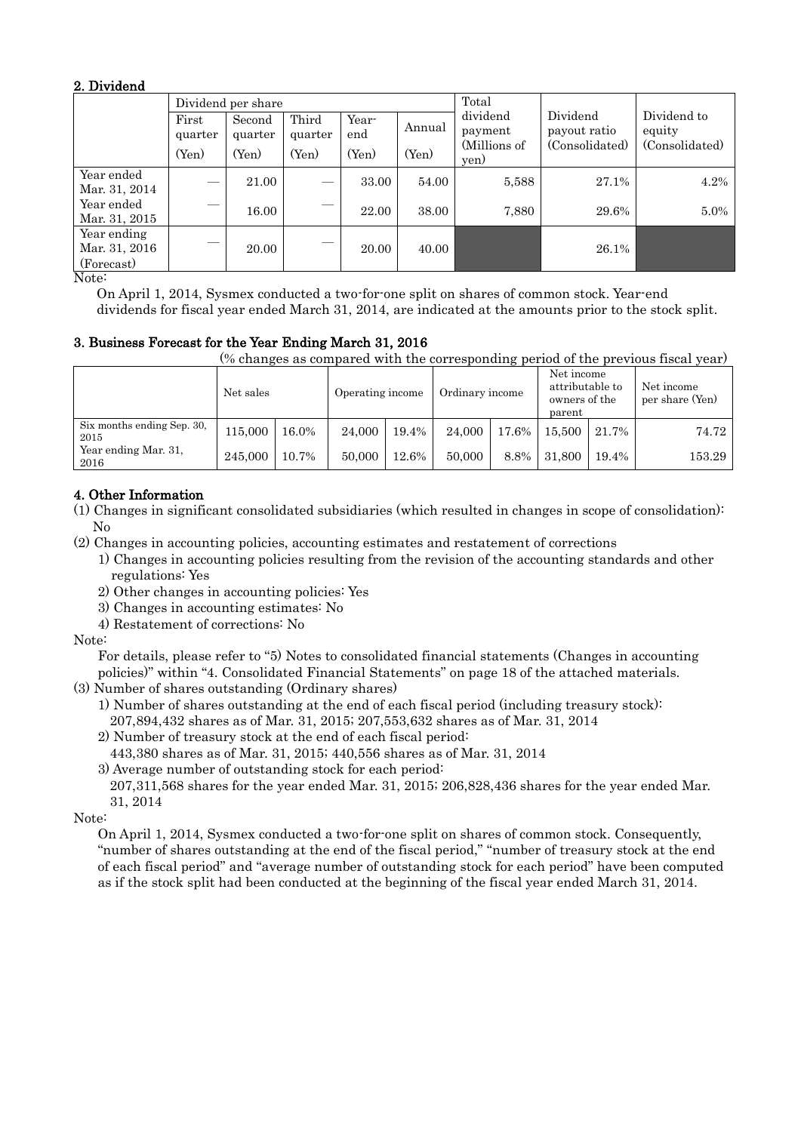## 2. Dividend

|                                            |                  | Dividend per share |                  |              | Total  |                      |                          |                       |
|--------------------------------------------|------------------|--------------------|------------------|--------------|--------|----------------------|--------------------------|-----------------------|
|                                            | First<br>quarter | Second<br>quarter  | Third<br>quarter | Year-<br>end | Annual | dividend<br>payment  | Dividend<br>payout ratio | Dividend to<br>equity |
|                                            | (Yen)            | (Yen)              | (Yen)            | (Yen)        | (Yen)  | (Millions of<br>yen) | (Consolidated)           | (Consolidated)        |
| Year ended<br>Mar. 31, 2014                |                  | 21.00              |                  | 33.00        | 54.00  | 5,588                | 27.1%                    | 4.2%                  |
| Year ended<br>Mar. 31, 2015                |                  | 16.00              |                  | 22.00        | 38.00  | 7,880                | 29.6%                    | $5.0\%$               |
| Year ending<br>Mar. 31, 2016<br>(Forecast) | _                | 20.00              |                  | 20.00        | 40.00  |                      | 26.1%                    |                       |

Note:

On April 1, 2014, Sysmex conducted a two-for-one split on shares of common stock. Year-end dividends for fiscal year ended March 31, 2014, are indicated at the amounts prior to the stock split.

## 3. Business Forecast for the Year Ending March 31, 2016

(% changes as compared with the corresponding period of the previous fiscal year)

|                                    | Net sales |       | Operating income |       | Ordinary income |       | Net income<br>attributable to<br>owners of the<br>parent |       | Net income<br>per share (Yen) |
|------------------------------------|-----------|-------|------------------|-------|-----------------|-------|----------------------------------------------------------|-------|-------------------------------|
| Six months ending Sep. 30,<br>2015 | 115.000   | 16.0% | 24,000           | 19.4% | 24,000          | 17.6% | 15,500                                                   | 21.7% | 74.72                         |
| Year ending Mar. 31,<br>2016       | 245,000   | 10.7% | 50,000           | 12.6% | 50,000          | 8.8%  | 31,800                                                   | 19.4% | 153.29                        |

## 4. Other Information

(1) Changes in significant consolidated subsidiaries (which resulted in changes in scope of consolidation): No

(2) Changes in accounting policies, accounting estimates and restatement of corrections

1) Changes in accounting policies resulting from the revision of the accounting standards and other regulations: Yes

- 2) Other changes in accounting policies: Yes
- 3) Changes in accounting estimates: No
- 4) Restatement of corrections: No

Note:

For details, please refer to "5) Notes to consolidated financial statements (Changes in accounting policies)" within "4. Consolidated Financial Statements" on page 18 of the attached materials.

(3) Number of shares outstanding (Ordinary shares)

- 1) Number of shares outstanding at the end of each fiscal period (including treasury stock): 207,894,432 shares as of Mar. 31, 2015; 207,553,632 shares as of Mar. 31, 2014
- 2) Number of treasury stock at the end of each fiscal period:
- 443,380 shares as of Mar. 31, 2015; 440,556 shares as of Mar. 31, 2014

3) Average number of outstanding stock for each period:

207,311,568 shares for the year ended Mar. 31, 2015; 206,828,436 shares for the year ended Mar. 31, 2014

Note:

On April 1, 2014, Sysmex conducted a two-for-one split on shares of common stock. Consequently, "number of shares outstanding at the end of the fiscal period," "number of treasury stock at the end of each fiscal period" and "average number of outstanding stock for each period" have been computed as if the stock split had been conducted at the beginning of the fiscal year ended March 31, 2014.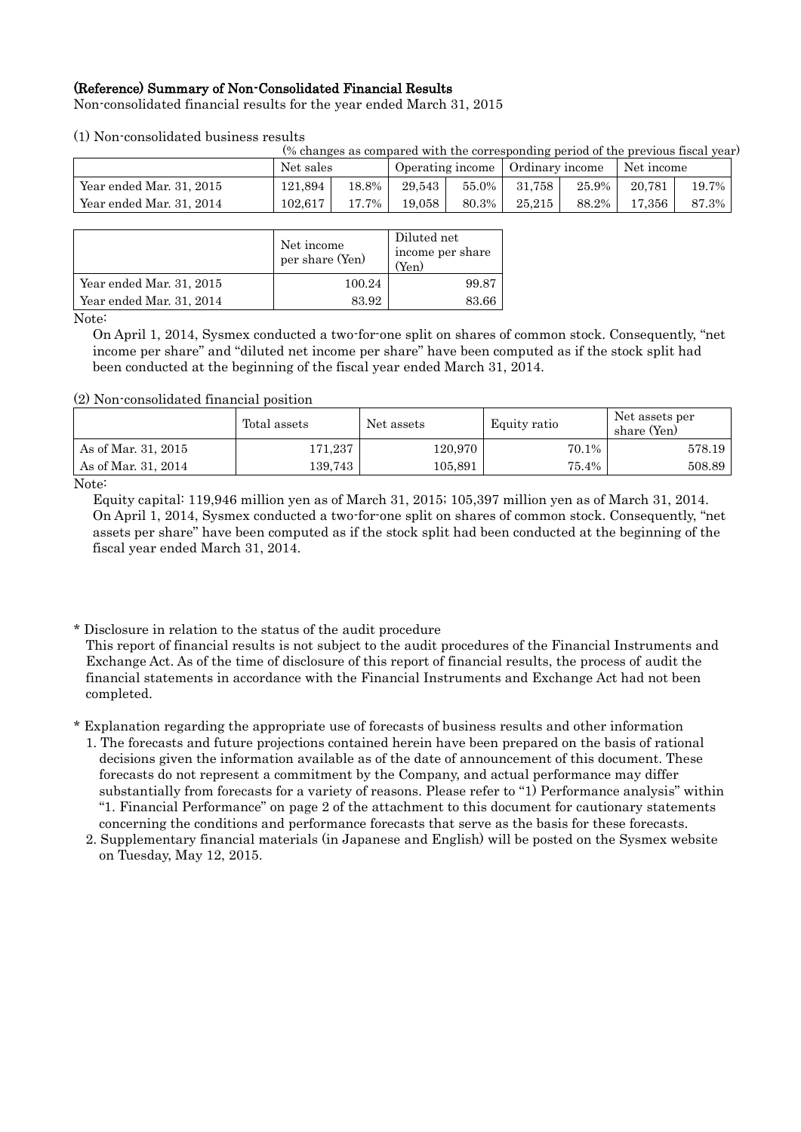## (Reference) Summary of Non-Consolidated Financial Results

Non-consolidated financial results for the year ended March 31, 2015

## (1) Non-consolidated business results

(% changes as compared with the corresponding period of the previous fiscal year)

|                          | Net sales |       | Operating income |          | Ordinary income |       | Net income |       |
|--------------------------|-----------|-------|------------------|----------|-----------------|-------|------------|-------|
| Year ended Mar. 31, 2015 | 121.894   | 18.8% | 29.543           | $55.0\%$ | 31.758 +        | 25.9% | 20.781     | 19.7% |
| Year ended Mar. 31, 2014 | 102.617   | 17.7% | 19.058           | 80.3%    | 25.215          | 88.2% | 17.356     | 87.3% |

|                          | Net income<br>per share (Yen) | Diluted net<br>income per share<br>(Yen |
|--------------------------|-------------------------------|-----------------------------------------|
| Year ended Mar. 31, 2015 | 100.24                        | 99.87                                   |
| Year ended Mar. 31, 2014 | 83.92                         | 83.66                                   |

Note:

On April 1, 2014, Sysmex conducted a two-for-one split on shares of common stock. Consequently, "net income per share" and "diluted net income per share" have been computed as if the stock split had been conducted at the beginning of the fiscal year ended March 31, 2014.

#### (2) Non-consolidated financial position

|                     | Total assets | Net assets | Equity ratio | Net assets per<br>share (Yen) |
|---------------------|--------------|------------|--------------|-------------------------------|
| As of Mar. 31, 2015 | 171,237      | 120,970    | 70.1%        | 578.19                        |
| As of Mar. 31, 2014 | 139.743      | 105,891    | 75.4%        | 508.89                        |
| $\mathbf{v}$        |              |            |              |                               |

Note:

Equity capital: 119,946 million yen as of March 31, 2015; 105,397 million yen as of March 31, 2014. On April 1, 2014, Sysmex conducted a two-for-one split on shares of common stock. Consequently, "net assets per share" have been computed as if the stock split had been conducted at the beginning of the fiscal year ended March 31, 2014.

\* Disclosure in relation to the status of the audit procedure

This report of financial results is not subject to the audit procedures of the Financial Instruments and Exchange Act. As of the time of disclosure of this report of financial results, the process of audit the financial statements in accordance with the Financial Instruments and Exchange Act had not been completed.

\* Explanation regarding the appropriate use of forecasts of business results and other information

- 1. The forecasts and future projections contained herein have been prepared on the basis of rational decisions given the information available as of the date of announcement of this document. These forecasts do not represent a commitment by the Company, and actual performance may differ substantially from forecasts for a variety of reasons. Please refer to "1) Performance analysis" within "1. Financial Performance" on page 2 of the attachment to this document for cautionary statements concerning the conditions and performance forecasts that serve as the basis for these forecasts.
- 2. Supplementary financial materials (in Japanese and English) will be posted on the Sysmex website on Tuesday, May 12, 2015.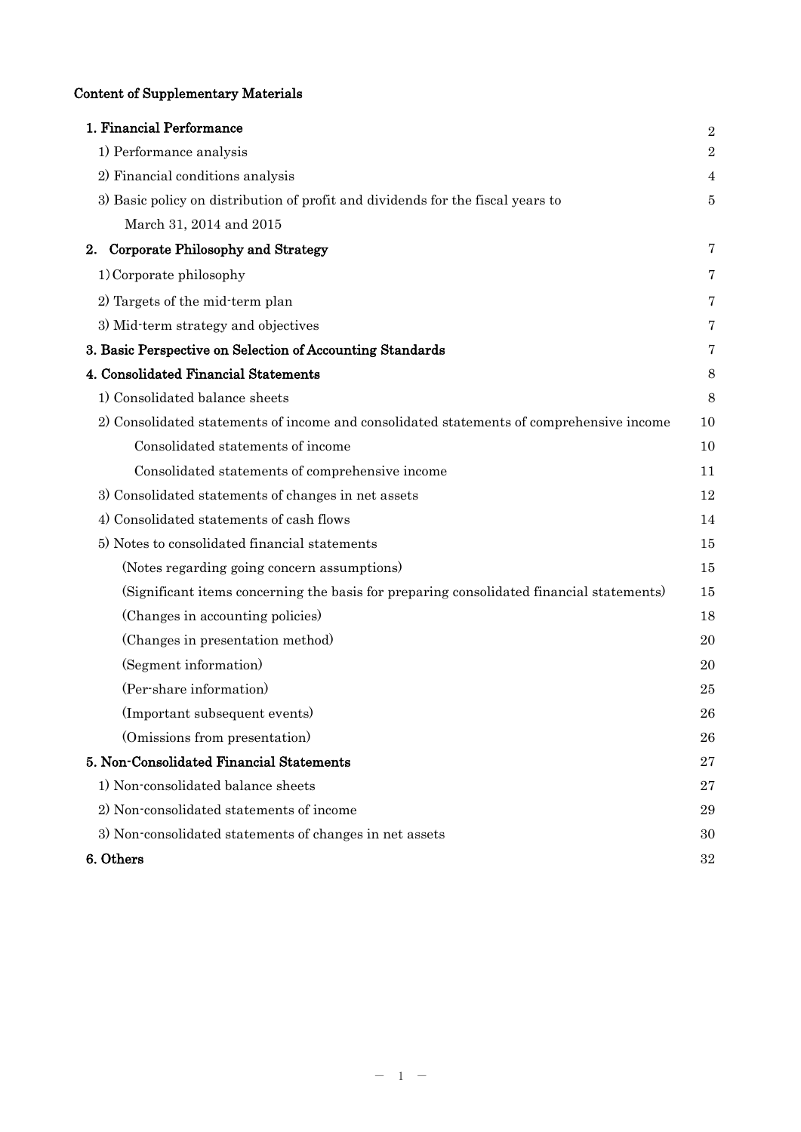## Content of Supplementary Materials

| 1. Financial Performance                                                                 | $\overline{2}$   |
|------------------------------------------------------------------------------------------|------------------|
| 1) Performance analysis                                                                  | $\boldsymbol{2}$ |
| 2) Financial conditions analysis                                                         | 4                |
| 3) Basic policy on distribution of profit and dividends for the fiscal years to          | 5                |
| March 31, 2014 and 2015                                                                  |                  |
| Corporate Philosophy and Strategy<br>2.                                                  | 7                |
| 1) Corporate philosophy                                                                  | 7                |
| 2) Targets of the mid-term plan                                                          | 7                |
| 3) Mid-term strategy and objectives                                                      | 7                |
| 3. Basic Perspective on Selection of Accounting Standards                                | 7                |
| 4. Consolidated Financial Statements                                                     | 8                |
| 1) Consolidated balance sheets                                                           | 8                |
| 2) Consolidated statements of income and consolidated statements of comprehensive income | 10               |
| Consolidated statements of income                                                        | 10               |
| Consolidated statements of comprehensive income                                          | 11               |
| 3) Consolidated statements of changes in net assets                                      | 12               |
| 4) Consolidated statements of cash flows                                                 | 14               |
| 5) Notes to consolidated financial statements                                            | 15               |
| (Notes regarding going concern assumptions)                                              | 15               |
| (Significant items concerning the basis for preparing consolidated financial statements) | 15               |
| (Changes in accounting policies)                                                         | 18               |
| (Changes in presentation method)                                                         | 20               |
| (Segment information)                                                                    | 20               |
| (Per-share information)                                                                  | 25               |
| (Important subsequent events)                                                            | 26               |
| (Omissions from presentation)                                                            | 26               |
| 5. Non-Consolidated Financial Statements                                                 | 27               |
| 1) Non-consolidated balance sheets                                                       | 27               |
| 2) Non-consolidated statements of income                                                 | 29               |
| 3) Non-consolidated statements of changes in net assets                                  | 30               |
| 6. Others                                                                                | 32               |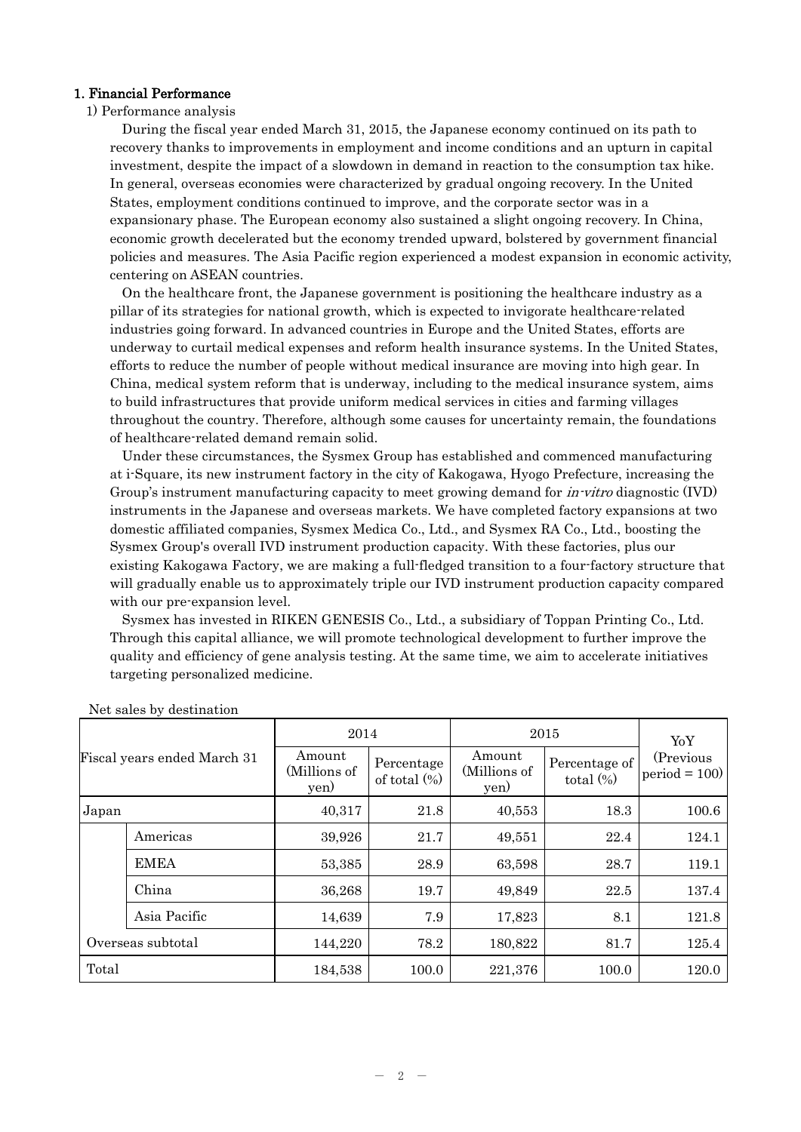## 1. Financial Performance

## 1) Performance analysis

During the fiscal year ended March 31, 2015, the Japanese economy continued on its path to recovery thanks to improvements in employment and income conditions and an upturn in capital investment, despite the impact of a slowdown in demand in reaction to the consumption tax hike. In general, overseas economies were characterized by gradual ongoing recovery. In the United States, employment conditions continued to improve, and the corporate sector was in a expansionary phase. The European economy also sustained a slight ongoing recovery. In China, economic growth decelerated but the economy trended upward, bolstered by government financial policies and measures. The Asia Pacific region experienced a modest expansion in economic activity, centering on ASEAN countries.

On the healthcare front, the Japanese government is positioning the healthcare industry as a pillar of its strategies for national growth, which is expected to invigorate healthcare-related industries going forward. In advanced countries in Europe and the United States, efforts are underway to curtail medical expenses and reform health insurance systems. In the United States, efforts to reduce the number of people without medical insurance are moving into high gear. In China, medical system reform that is underway, including to the medical insurance system, aims to build infrastructures that provide uniform medical services in cities and farming villages throughout the country. Therefore, although some causes for uncertainty remain, the foundations of healthcare-related demand remain solid.

Under these circumstances, the Sysmex Group has established and commenced manufacturing at i-Square, its new instrument factory in the city of Kakogawa, Hyogo Prefecture, increasing the Group's instrument manufacturing capacity to meet growing demand for *in-vitro* diagnostic (IVD) instruments in the Japanese and overseas markets. We have completed factory expansions at two domestic affiliated companies, Sysmex Medica Co., Ltd., and Sysmex RA Co., Ltd., boosting the Sysmex Group's overall IVD instrument production capacity. With these factories, plus our existing Kakogawa Factory, we are making a full-fledged transition to a four-factory structure that will gradually enable us to approximately triple our IVD instrument production capacity compared with our pre-expansion level.

Sysmex has invested in RIKEN GENESIS Co., Ltd., a subsidiary of Toppan Printing Co., Ltd. Through this capital alliance, we will promote technological development to further improve the quality and efficiency of gene analysis testing. At the same time, we aim to accelerate initiatives targeting personalized medicine.

| Fiscal years ended March 31 |              | 2014                                                            |       | 2015                                                            | YoY   |                                     |
|-----------------------------|--------------|-----------------------------------------------------------------|-------|-----------------------------------------------------------------|-------|-------------------------------------|
|                             |              | Amount<br>Percentage<br>(Millions of<br>of total $(\%)$<br>yen) |       | Amount<br>Percentage of<br>(Millions of<br>total $(\%)$<br>yen) |       | (Previous<br>$ period = 100\rangle$ |
| Japan                       |              | 40,317                                                          | 21.8  | 40,553                                                          | 18.3  | 100.6                               |
|                             | Americas     | 39,926                                                          | 21.7  | 49,551                                                          | 22.4  | 124.1                               |
|                             | <b>EMEA</b>  | 53,385                                                          | 28.9  | 63,598                                                          | 28.7  | 119.1                               |
|                             | China        | 36,268                                                          | 19.7  | 49,849                                                          | 22.5  | 137.4                               |
|                             | Asia Pacific | 14,639                                                          | 7.9   | 17,823                                                          | 8.1   | 121.8                               |
| Overseas subtotal           |              | 144,220                                                         | 78.2  | 180,822                                                         | 81.7  | 125.4                               |
| Total                       |              | 184,538                                                         | 100.0 | 221,376                                                         | 100.0 | 120.0                               |

Net sales by destination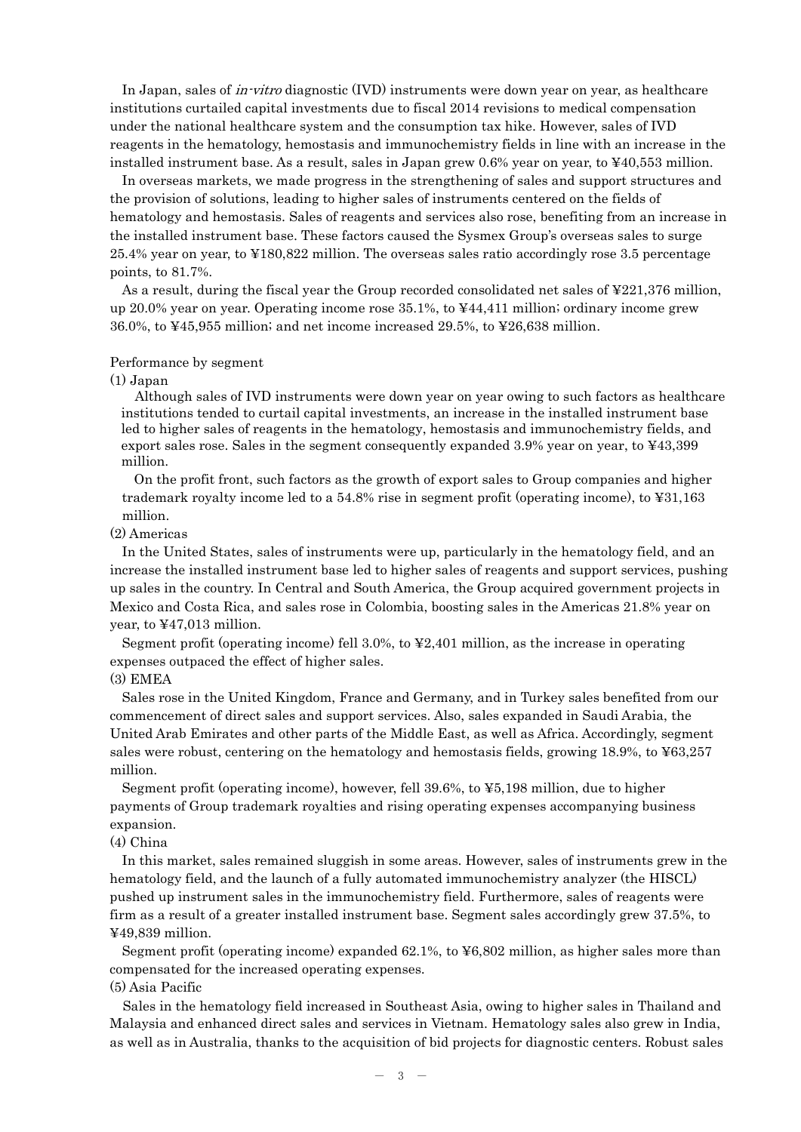In Japan, sales of *in-vitro* diagnostic (IVD) instruments were down year on year, as healthcare institutions curtailed capital investments due to fiscal 2014 revisions to medical compensation under the national healthcare system and the consumption tax hike. However, sales of IVD reagents in the hematology, hemostasis and immunochemistry fields in line with an increase in the installed instrument base. As a result, sales in Japan grew 0.6% year on year, to ¥40,553 million.

In overseas markets, we made progress in the strengthening of sales and support structures and the provision of solutions, leading to higher sales of instruments centered on the fields of hematology and hemostasis. Sales of reagents and services also rose, benefiting from an increase in the installed instrument base. These factors caused the Sysmex Group's overseas sales to surge 25.4% year on year, to ¥180,822 million. The overseas sales ratio accordingly rose 3.5 percentage points, to 81.7%.

As a result, during the fiscal year the Group recorded consolidated net sales of ¥221,376 million, up 20.0% year on year. Operating income rose 35.1%, to ¥44,411 million; ordinary income grew 36.0%, to ¥45,955 million; and net income increased 29.5%, to ¥26,638 million.

#### Performance by segment

#### $(1)$  Japan

Although sales of IVD instruments were down year on year owing to such factors as healthcare institutions tended to curtail capital investments, an increase in the installed instrument base led to higher sales of reagents in the hematology, hemostasis and immunochemistry fields, and export sales rose. Sales in the segment consequently expanded 3.9% year on year, to ¥43,399 million.

On the profit front, such factors as the growth of export sales to Group companies and higher trademark royalty income led to a 54.8% rise in segment profit (operating income), to ¥31,163 million.

#### (2) Americas

In the United States, sales of instruments were up, particularly in the hematology field, and an increase the installed instrument base led to higher sales of reagents and support services, pushing up sales in the country. In Central and South America, the Group acquired government projects in Mexico and Costa Rica, and sales rose in Colombia, boosting sales in the Americas 21.8% year on year, to ¥47,013 million.

Segment profit (operating income) fell 3.0%, to ¥2,401 million, as the increase in operating expenses outpaced the effect of higher sales.

#### (3) EMEA

Sales rose in the United Kingdom, France and Germany, and in Turkey sales benefited from our commencement of direct sales and support services. Also, sales expanded in Saudi Arabia, the United Arab Emirates and other parts of the Middle East, as well as Africa. Accordingly, segment sales were robust, centering on the hematology and hemostasis fields, growing 18.9%, to ¥63,257 million.

Segment profit (operating income), however, fell 39.6%, to ¥5,198 million, due to higher payments of Group trademark royalties and rising operating expenses accompanying business expansion.

#### (4) China

In this market, sales remained sluggish in some areas. However, sales of instruments grew in the hematology field, and the launch of a fully automated immunochemistry analyzer (the HISCL) pushed up instrument sales in the immunochemistry field. Furthermore, sales of reagents were firm as a result of a greater installed instrument base. Segment sales accordingly grew 37.5%, to ¥49,839 million.

Segment profit (operating income) expanded 62.1%, to ¥6,802 million, as higher sales more than compensated for the increased operating expenses.

#### (5) Asia Pacific

Sales in the hematology field increased in Southeast Asia, owing to higher sales in Thailand and Malaysia and enhanced direct sales and services in Vietnam. Hematology sales also grew in India, as well as in Australia, thanks to the acquisition of bid projects for diagnostic centers. Robust sales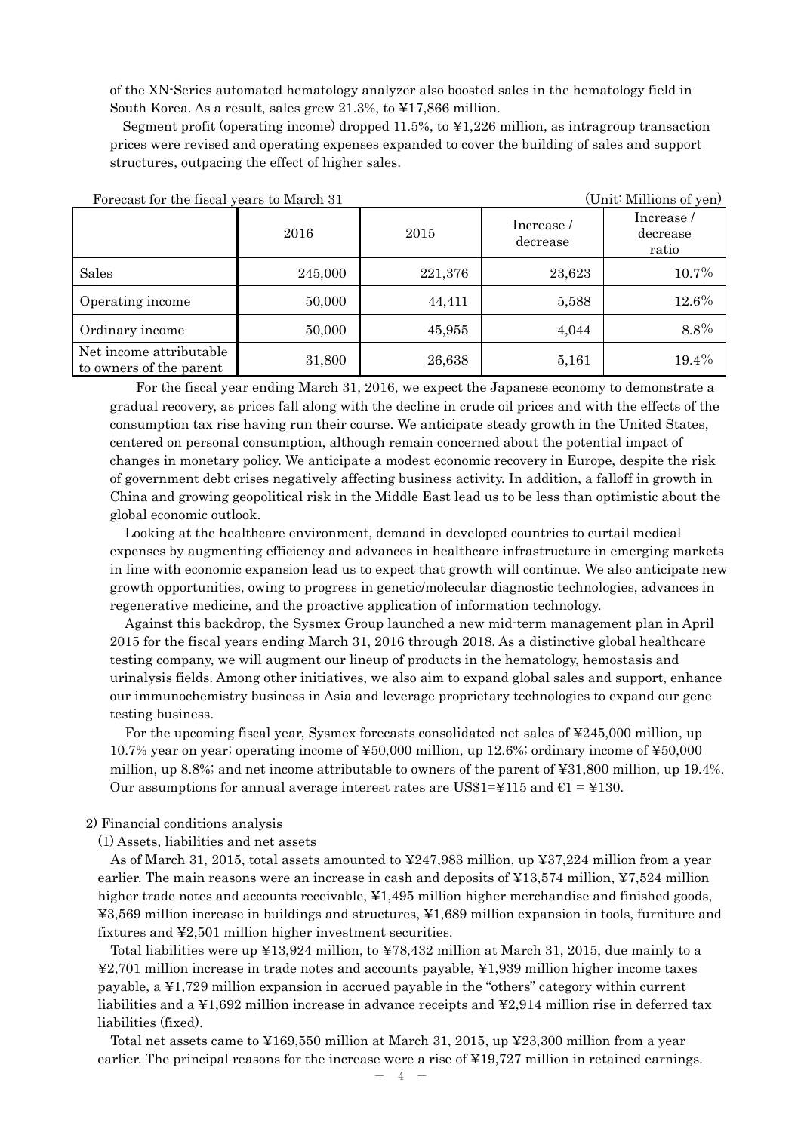of the XN-Series automated hematology analyzer also boosted sales in the hematology field in South Korea. As a result, sales grew 21.3%, to ¥17,866 million.

Segment profit (operating income) dropped 11.5%, to ¥1,226 million, as intragroup transaction prices were revised and operating expenses expanded to cover the building of sales and support structures, outpacing the effect of higher sales.

| Forecast for the fiscal years to March 31          |         | (Unit: Millions of yen) |        |                                 |
|----------------------------------------------------|---------|-------------------------|--------|---------------------------------|
|                                                    | 2016    | 2015                    |        | Increase /<br>decrease<br>ratio |
| Sales                                              | 245,000 | 221,376                 | 23,623 | 10.7%                           |
| Operating income                                   | 50,000  | 44,411                  | 5,588  | 12.6%                           |
| Ordinary income                                    | 50,000  | 45,955                  | 4,044  | $8.8\%$                         |
| Net income attributable<br>to owners of the parent | 31,800  | 26,638                  | 5,161  | 19.4%                           |

For the fiscal year ending March 31, 2016, we expect the Japanese economy to demonstrate a gradual recovery, as prices fall along with the decline in crude oil prices and with the effects of the consumption tax rise having run their course. We anticipate steady growth in the United States, centered on personal consumption, although remain concerned about the potential impact of changes in monetary policy. We anticipate a modest economic recovery in Europe, despite the risk of government debt crises negatively affecting business activity. In addition, a falloff in growth in China and growing geopolitical risk in the Middle East lead us to be less than optimistic about the global economic outlook.

Looking at the healthcare environment, demand in developed countries to curtail medical expenses by augmenting efficiency and advances in healthcare infrastructure in emerging markets in line with economic expansion lead us to expect that growth will continue. We also anticipate new growth opportunities, owing to progress in genetic/molecular diagnostic technologies, advances in regenerative medicine, and the proactive application of information technology.

Against this backdrop, the Sysmex Group launched a new mid-term management plan in April 2015 for the fiscal years ending March 31, 2016 through 2018. As a distinctive global healthcare testing company, we will augment our lineup of products in the hematology, hemostasis and urinalysis fields. Among other initiatives, we also aim to expand global sales and support, enhance our immunochemistry business in Asia and leverage proprietary technologies to expand our gene testing business.

For the upcoming fiscal year, Sysmex forecasts consolidated net sales of ¥245,000 million, up 10.7% year on year; operating income of ¥50,000 million, up 12.6%; ordinary income of ¥50,000 million, up 8.8%; and net income attributable to owners of the parent of ¥31,800 million, up 19.4%. Our assumptions for annual average interest rates are US\$1=¥115 and  $\epsilon$ 1 = ¥130.

## 2) Financial conditions analysis

(1) Assets, liabilities and net assets

As of March 31, 2015, total assets amounted to ¥247,983 million, up ¥37,224 million from a year earlier. The main reasons were an increase in cash and deposits of ¥13,574 million, ¥7,524 million higher trade notes and accounts receivable, ¥1,495 million higher merchandise and finished goods, ¥3,569 million increase in buildings and structures, ¥1,689 million expansion in tools, furniture and fixtures and ¥2,501 million higher investment securities.

Total liabilities were up ¥13,924 million, to ¥78,432 million at March 31, 2015, due mainly to a ¥2,701 million increase in trade notes and accounts payable, ¥1,939 million higher income taxes payable, a ¥1,729 million expansion in accrued payable in the "others" category within current liabilities and a ¥1,692 million increase in advance receipts and ¥2,914 million rise in deferred tax liabilities (fixed).

Total net assets came to ¥169,550 million at March 31, 2015, up ¥23,300 million from a year earlier. The principal reasons for the increase were a rise of ¥19,727 million in retained earnings.

 $- 4 -$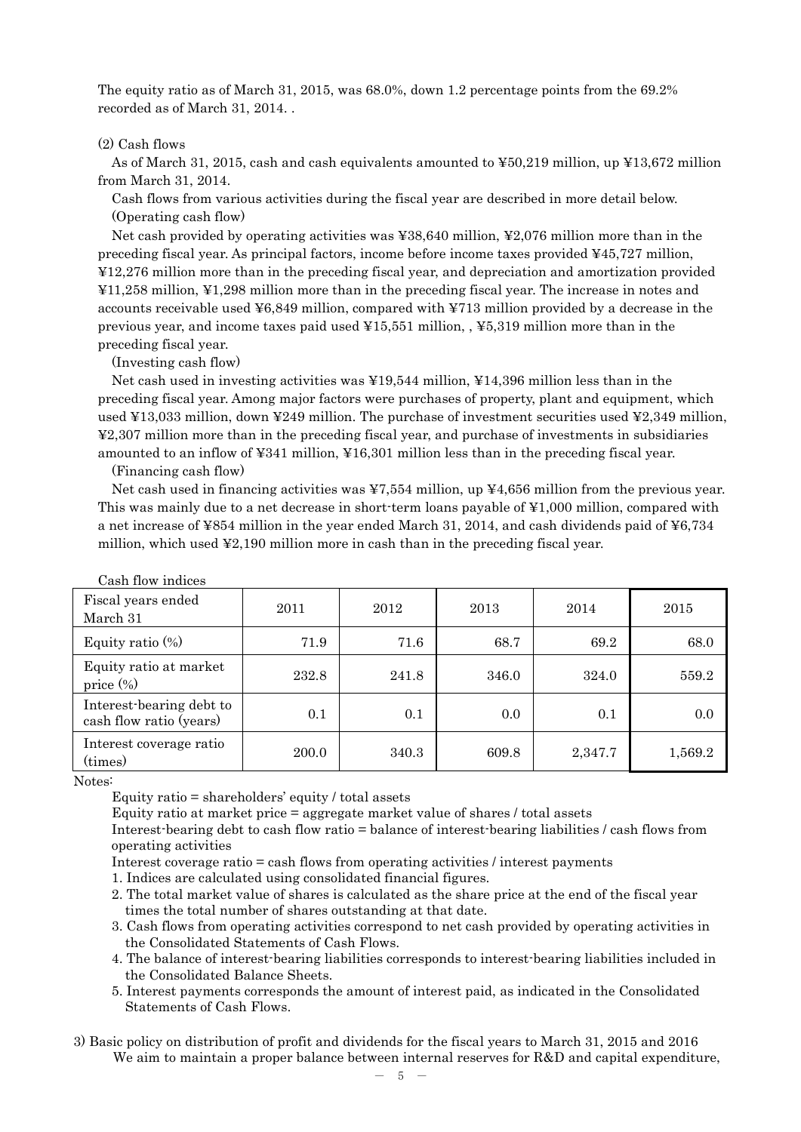The equity ratio as of March 31, 2015, was 68.0%, down 1.2 percentage points from the 69.2% recorded as of March 31, 2014. .

## (2) Cash flows

As of March 31, 2015, cash and cash equivalents amounted to ¥50,219 million, up ¥13,672 million from March 31, 2014.

Cash flows from various activities during the fiscal year are described in more detail below. (Operating cash flow)

Net cash provided by operating activities was ¥38,640 million, ¥2,076 million more than in the preceding fiscal year. As principal factors, income before income taxes provided ¥45,727 million, ¥12,276 million more than in the preceding fiscal year, and depreciation and amortization provided ¥11,258 million, ¥1,298 million more than in the preceding fiscal year. The increase in notes and accounts receivable used ¥6,849 million, compared with ¥713 million provided by a decrease in the previous year, and income taxes paid used ¥15,551 million, , ¥5,319 million more than in the preceding fiscal year.

(Investing cash flow)

Net cash used in investing activities was ¥19,544 million, ¥14,396 million less than in the preceding fiscal year. Among major factors were purchases of property, plant and equipment, which used ¥13,033 million, down ¥249 million. The purchase of investment securities used ¥2,349 million, ¥2,307 million more than in the preceding fiscal year, and purchase of investments in subsidiaries amounted to an inflow of ¥341 million, ¥16,301 million less than in the preceding fiscal year.

(Financing cash flow)

Net cash used in financing activities was ¥7,554 million, up ¥4,656 million from the previous year. This was mainly due to a net decrease in short-term loans payable of ¥1,000 million, compared with a net increase of ¥854 million in the year ended March 31, 2014, and cash dividends paid of ¥6,734 million, which used ¥2,190 million more in cash than in the preceding fiscal year.

| Cash flow indices                                   |       |       |       |         |         |
|-----------------------------------------------------|-------|-------|-------|---------|---------|
| Fiscal years ended<br>March 31                      | 2011  | 2012  | 2013  | 2014    | 2015    |
| Equity ratio $(\%)$                                 | 71.9  | 71.6  | 68.7  | 69.2    | 68.0    |
| Equity ratio at market<br>price $(\%)$              | 232.8 | 241.8 | 346.0 | 324.0   | 559.2   |
| Interest-bearing debt to<br>cash flow ratio (years) | 0.1   | 0.1   | 0.0   | 0.1     | 0.0     |
| Interest coverage ratio<br>(times)                  | 200.0 | 340.3 | 609.8 | 2,347.7 | 1,569.2 |

Notes:

Equity ratio = shareholders' equity / total assets

Equity ratio at market price = aggregate market value of shares / total assets

Interest-bearing debt to cash flow ratio = balance of interest-bearing liabilities / cash flows from operating activities

Interest coverage ratio = cash flows from operating activities / interest payments

- 1. Indices are calculated using consolidated financial figures.
- 2. The total market value of shares is calculated as the share price at the end of the fiscal year times the total number of shares outstanding at that date.
- 3. Cash flows from operating activities correspond to net cash provided by operating activities in the Consolidated Statements of Cash Flows.
- 4. The balance of interest-bearing liabilities corresponds to interest-bearing liabilities included in the Consolidated Balance Sheets.
- 5. Interest payments corresponds the amount of interest paid, as indicated in the Consolidated Statements of Cash Flows.
- 3) Basic policy on distribution of profit and dividends for the fiscal years to March 31, 2015 and 2016 We aim to maintain a proper balance between internal reserves for R&D and capital expenditure,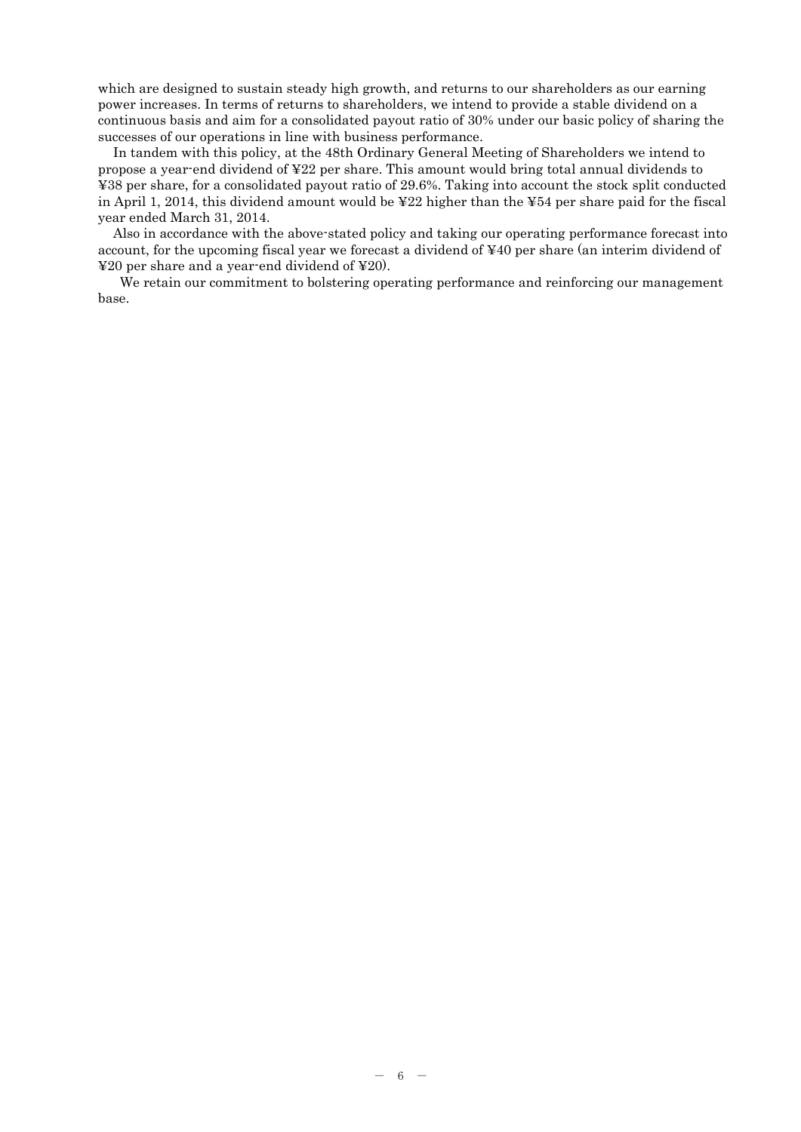which are designed to sustain steady high growth, and returns to our shareholders as our earning power increases. In terms of returns to shareholders, we intend to provide a stable dividend on a continuous basis and aim for a consolidated payout ratio of 30% under our basic policy of sharing the successes of our operations in line with business performance.

In tandem with this policy, at the 48th Ordinary General Meeting of Shareholders we intend to propose a year-end dividend of ¥22 per share. This amount would bring total annual dividends to ¥38 per share, for a consolidated payout ratio of 29.6%. Taking into account the stock split conducted in April 1, 2014, this dividend amount would be ¥22 higher than the ¥54 per share paid for the fiscal year ended March 31, 2014.

Also in accordance with the above-stated policy and taking our operating performance forecast into account, for the upcoming fiscal year we forecast a dividend of ¥40 per share (an interim dividend of ¥20 per share and a year-end dividend of ¥20).

We retain our commitment to bolstering operating performance and reinforcing our management base.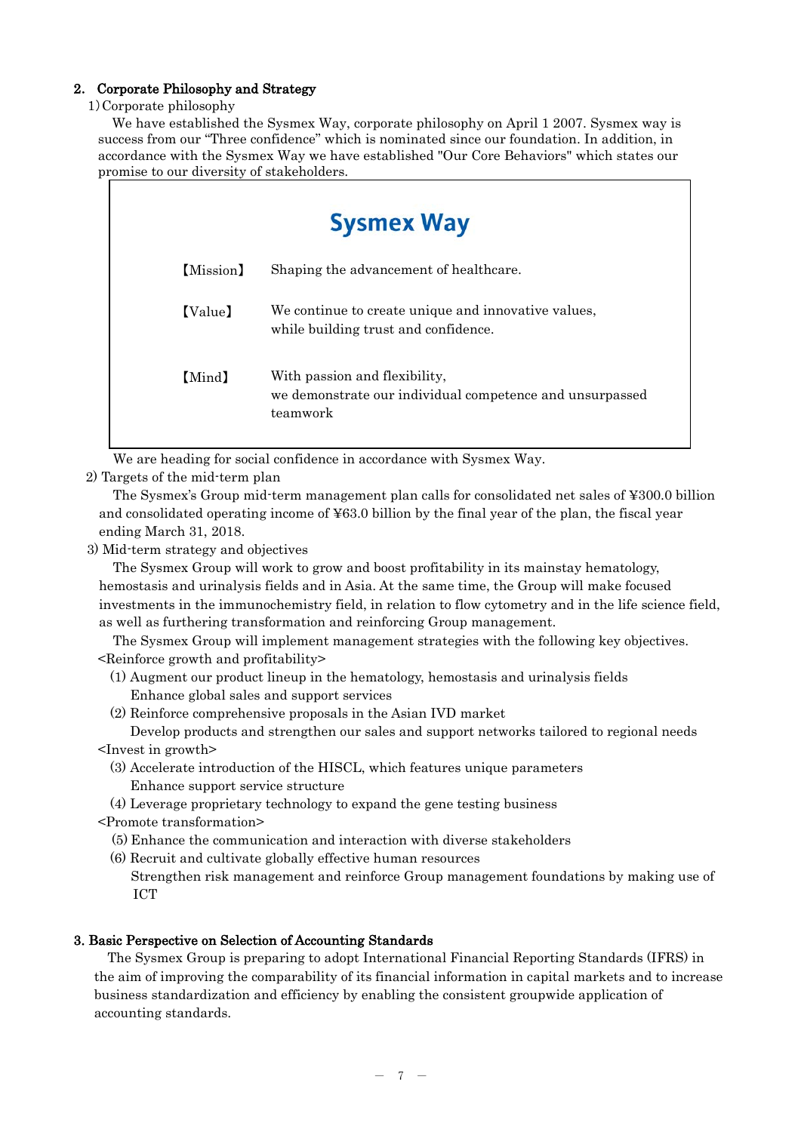## 2. Corporate Philosophy and Strategy

## 1)Corporate philosophy

We have established the Sysmex Way, corporate philosophy on April 1 2007. Sysmex way is success from our "Three confidence" which is nominated since our foundation. In addition, in accordance with the Sysmex Way we have established "Our Core Behaviors" which states our promise to our diversity of stakeholders.

| <b>Sysmex Way</b> |                                                                                                       |  |  |  |  |  |
|-------------------|-------------------------------------------------------------------------------------------------------|--|--|--|--|--|
| [Mission]         | Shaping the advancement of healthcare.                                                                |  |  |  |  |  |
| [Value]           | We continue to create unique and innovative values,<br>while building trust and confidence.           |  |  |  |  |  |
| [Mind]            | With passion and flexibility,<br>we demonstrate our individual competence and unsurpassed<br>teamwork |  |  |  |  |  |

We are heading for social confidence in accordance with Sysmex Way.

## 2) Targets of the mid-term plan

The Sysmex's Group mid-term management plan calls for consolidated net sales of ¥300.0 billion and consolidated operating income of ¥63.0 billion by the final year of the plan, the fiscal year ending March 31, 2018.

3) Mid-term strategy and objectives

The Sysmex Group will work to grow and boost profitability in its mainstay hematology, hemostasis and urinalysis fields and in Asia. At the same time, the Group will make focused investments in the immunochemistry field, in relation to flow cytometry and in the life science field, as well as furthering transformation and reinforcing Group management.

The Sysmex Group will implement management strategies with the following key objectives. <Reinforce growth and profitability>

- (1) Augment our product lineup in the hematology, hemostasis and urinalysis fields Enhance global sales and support services
- (2) Reinforce comprehensive proposals in the Asian IVD market Develop products and strengthen our sales and support networks tailored to regional needs

<Invest in growth>

- (3) Accelerate introduction of the HISCL, which features unique parameters Enhance support service structure
- (4) Leverage proprietary technology to expand the gene testing business
- <Promote transformation>

(5) Enhance the communication and interaction with diverse stakeholders

(6) Recruit and cultivate globally effective human resources

Strengthen risk management and reinforce Group management foundations by making use of ICT

## 3. Basic Perspective on Selection of Accounting Standards

The Sysmex Group is preparing to adopt International Financial Reporting Standards (IFRS) in the aim of improving the comparability of its financial information in capital markets and to increase business standardization and efficiency by enabling the consistent groupwide application of accounting standards.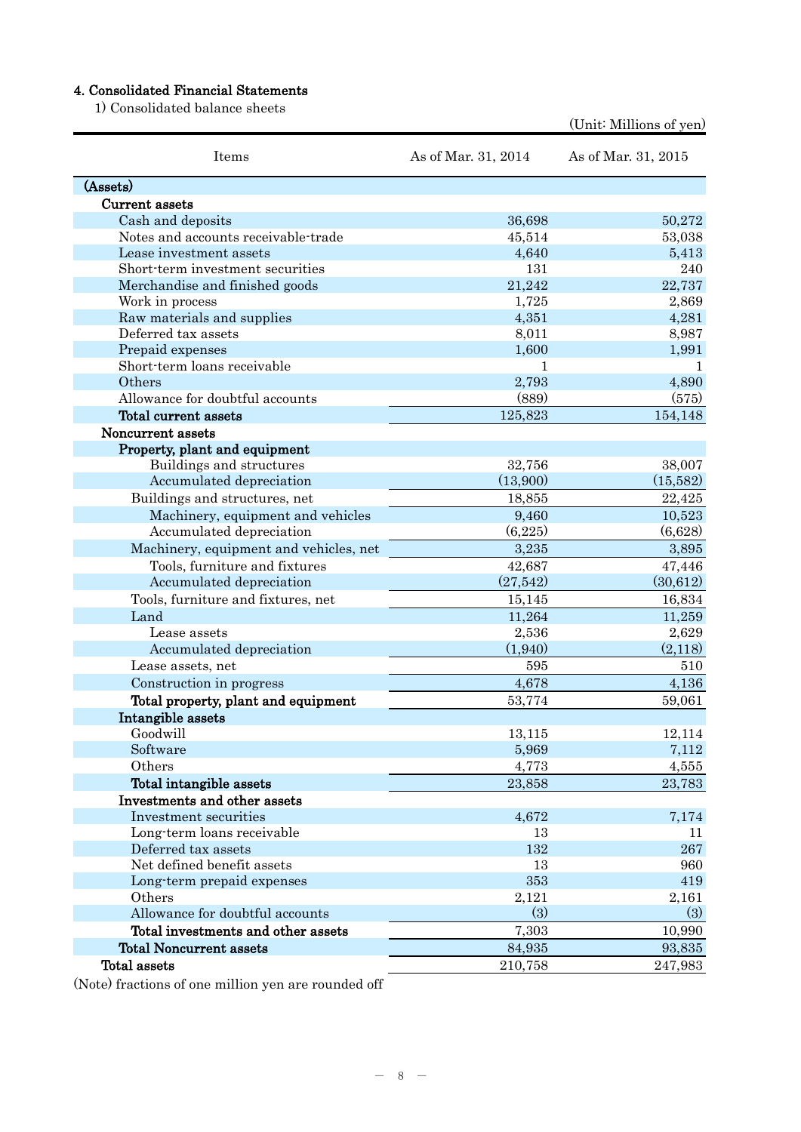## 4. Consolidated Financial Statements

1) Consolidated balance sheets

| Items                                  | As of Mar. 31, 2014 | As of Mar. 31, 2015 |
|----------------------------------------|---------------------|---------------------|
| (Assets)                               |                     |                     |
| Current assets                         |                     |                     |
| Cash and deposits                      | 36,698              | 50,272              |
| Notes and accounts receivable-trade    | 45,514              | 53,038              |
| Lease investment assets                | 4,640               | 5,413               |
| Short-term investment securities       | 131                 | 240                 |
| Merchandise and finished goods         | 21,242              | 22,737              |
| Work in process                        | 1,725               | 2,869               |
| Raw materials and supplies             | 4,351               | 4,281               |
| Deferred tax assets                    | 8,011               | 8,987               |
| Prepaid expenses                       | 1,600               | 1,991               |
| Short-term loans receivable            | 1                   | 1                   |
| Others                                 | 2,793               | 4,890               |
| Allowance for doubtful accounts        | (889)               | (575)               |
| Total current assets                   | 125,823             | 154,148             |
| Noncurrent assets                      |                     |                     |
| Property, plant and equipment          |                     |                     |
| Buildings and structures               | 32,756              | 38,007              |
| Accumulated depreciation               | (13,900)            | (15,582)            |
| Buildings and structures, net          | 18,855              | 22,425              |
| Machinery, equipment and vehicles      | 9,460               | 10,523              |
| Accumulated depreciation               | (6,225)             | (6,628)             |
| Machinery, equipment and vehicles, net | 3,235               | 3,895               |
| Tools, furniture and fixtures          | 42,687              | 47,446              |
| Accumulated depreciation               | (27, 542)           | (30,612)            |
| Tools, furniture and fixtures, net     | 15,145              | 16,834              |
| Land                                   | 11,264              | 11,259              |
| Lease assets                           | 2,536               | 2,629               |
| Accumulated depreciation               | (1,940)             | (2,118)             |
| Lease assets, net                      | 595                 | 510                 |
| Construction in progress               | 4,678               | 4,136               |
| Total property, plant and equipment    | 53,774              | 59,061              |
| Intangible assets                      |                     |                     |
| Goodwill                               | 13,115              | 12,114              |
| Software                               | 5,969               | 7,112               |
| Others                                 | 4,773               | 4,555               |
| Total intangible assets                | 23,858              | 23,783              |
| Investments and other assets           |                     |                     |
| Investment securities                  | 4,672               | 7,174               |
| Long-term loans receivable             | 13                  | 11                  |
| Deferred tax assets                    | 132                 | 267                 |
| Net defined benefit assets             | 13                  | 960                 |
| Long-term prepaid expenses             | 353                 | 419                 |
| Others                                 | 2,121               | 2,161               |
| Allowance for doubtful accounts        | (3)                 | (3)                 |
| Total investments and other assets     | 7,303               | 10,990              |
| <b>Total Noncurrent assets</b>         | 84,935              | 93,835              |
| Total assets                           | 210,758             | 247,983             |

(Unit: Millions of yen)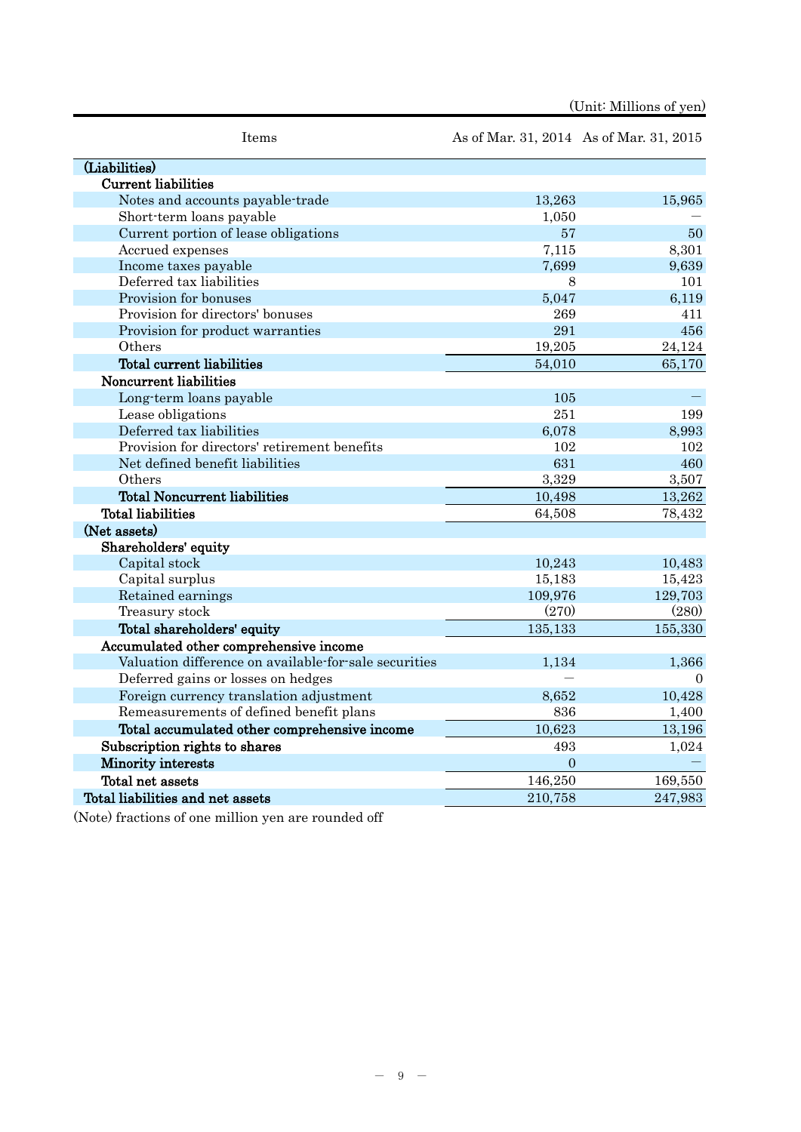| Items                                                 |                | As of Mar. 31, 2014 As of Mar. 31, 2015 |
|-------------------------------------------------------|----------------|-----------------------------------------|
| (Liabilities)                                         |                |                                         |
| <b>Current liabilities</b>                            |                |                                         |
| Notes and accounts payable-trade                      | 13,263         | 15,965                                  |
| Short-term loans payable                              | 1,050          |                                         |
| Current portion of lease obligations                  | 57             | 50                                      |
| Accrued expenses                                      | 7,115          | 8,301                                   |
| Income taxes payable                                  | 7,699          | 9,639                                   |
| Deferred tax liabilities                              | 8              | 101                                     |
| Provision for bonuses                                 | 5,047          | 6,119                                   |
| Provision for directors' bonuses                      | 269            | 411                                     |
| Provision for product warranties                      | 291            | 456                                     |
| Others                                                | 19,205         | 24,124                                  |
| <b>Total current liabilities</b>                      | 54,010         | 65,170                                  |
| Noncurrent liabilities                                |                |                                         |
| Long-term loans payable                               | 105            |                                         |
| Lease obligations                                     | 251            | 199                                     |
| Deferred tax liabilities                              | 6,078          | 8,993                                   |
| Provision for directors' retirement benefits          | 102            | 102                                     |
| Net defined benefit liabilities                       | 631            | 460                                     |
| Others                                                | 3,329          | 3,507                                   |
| <b>Total Noncurrent liabilities</b>                   | 10,498         | 13,262                                  |
| <b>Total liabilities</b>                              | 64,508         | 78,432                                  |
| (Net assets)                                          |                |                                         |
| Shareholders' equity                                  |                |                                         |
| Capital stock                                         | 10,243         | 10,483                                  |
| Capital surplus                                       | 15,183         | 15,423                                  |
| Retained earnings                                     | 109,976        | 129,703                                 |
| Treasury stock                                        | (270)          | (280)                                   |
| Total shareholders' equity                            | 135,133        | 155,330                                 |
| Accumulated other comprehensive income                |                |                                         |
| Valuation difference on available-for-sale securities | 1,134          | 1,366                                   |
| Deferred gains or losses on hedges                    |                | $\Omega$                                |
| Foreign currency translation adjustment               | 8,652          | 10,428                                  |
| Remeasurements of defined benefit plans               | 836            | 1,400                                   |
| Total accumulated other comprehensive income          | 10,623         | 13,196                                  |
| Subscription rights to shares                         | 493            | 1,024                                   |
| Minority interests                                    | $\overline{0}$ |                                         |
| Total net assets                                      | 146,250        | 169,550                                 |
| Total liabilities and net assets                      | 210,758        | 247,983                                 |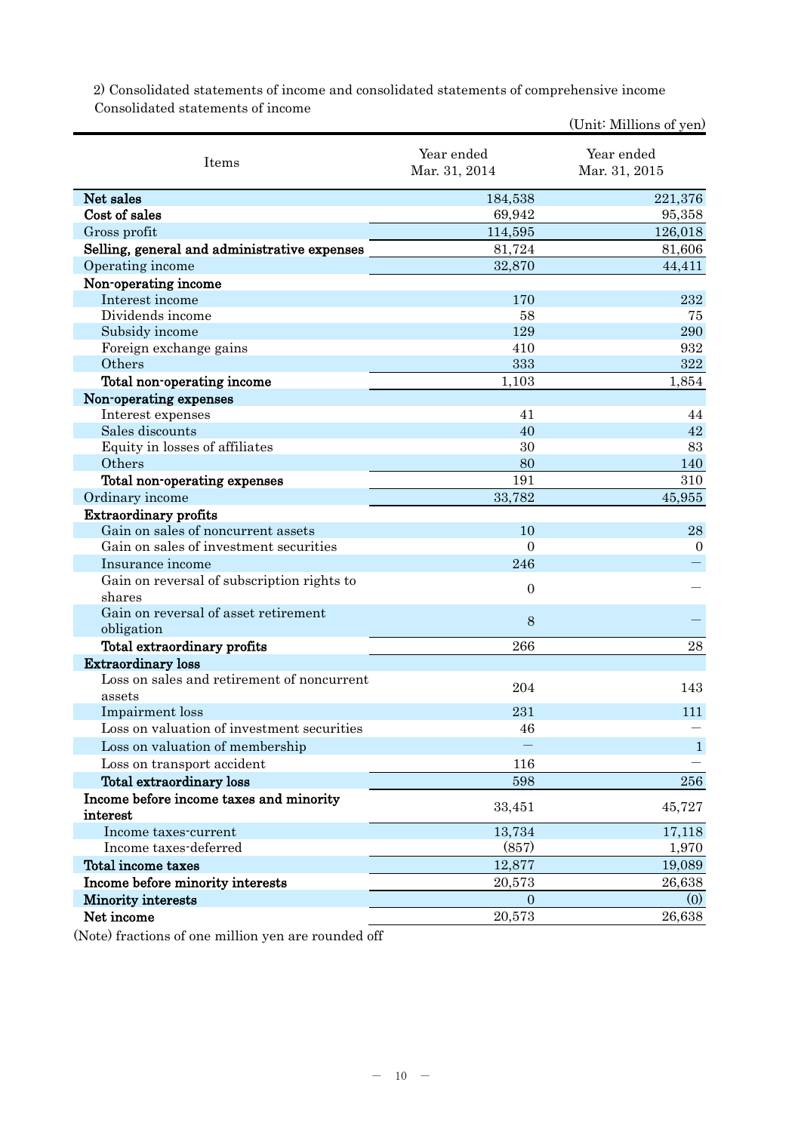2) Consolidated statements of income and consolidated statements of comprehensive income Consolidated statements of income

|                                                      |                             | (Unit: Millions of yen)     |
|------------------------------------------------------|-----------------------------|-----------------------------|
| Items                                                | Year ended<br>Mar. 31, 2014 | Year ended<br>Mar. 31, 2015 |
| Net sales                                            | 184,538                     | 221,376                     |
| Cost of sales                                        | 69,942                      | 95,358                      |
| Gross profit                                         | 114,595                     | 126,018                     |
| Selling, general and administrative expenses         | 81,724                      | 81,606                      |
| Operating income                                     | 32,870                      | 44,411                      |
| Non-operating income                                 |                             |                             |
| Interest income                                      | 170                         | 232                         |
| Dividends income                                     | 58                          | 75                          |
| Subsidy income                                       | 129                         | 290                         |
| Foreign exchange gains                               | 410                         | 932                         |
| Others                                               | 333                         | 322                         |
| Total non-operating income                           | 1,103                       | 1,854                       |
| Non-operating expenses                               |                             |                             |
| Interest expenses                                    | 41                          | 44                          |
| Sales discounts                                      | 40                          | 42                          |
| Equity in losses of affiliates                       | 30                          | 83                          |
| Others                                               | 80                          | 140                         |
| Total non-operating expenses                         | 191                         | 310                         |
| Ordinary income                                      | 33,782                      | 45,955                      |
| <b>Extraordinary profits</b>                         |                             |                             |
| Gain on sales of noncurrent assets                   | 10                          | 28                          |
| Gain on sales of investment securities               | $\overline{0}$              | $\mathbf{0}$                |
| Insurance income                                     | 246                         |                             |
| Gain on reversal of subscription rights to<br>shares | $\mathbf{0}$                |                             |
| Gain on reversal of asset retirement                 | 8                           |                             |
| obligation                                           |                             |                             |
| Total extraordinary profits                          | 266                         | 28                          |
| <b>Extraordinary loss</b>                            |                             |                             |
| Loss on sales and retirement of noncurrent           | 204                         | 143                         |
| assets                                               |                             |                             |
| Impairment loss                                      | 231                         | 111                         |
| Loss on valuation of investment securities           | 46                          |                             |
| Loss on valuation of membership                      |                             | $\mathbf{1}$                |
| Loss on transport accident                           | 116                         |                             |
| Total extraordinary loss                             | 598                         | 256                         |
| Income before income taxes and minority<br>interest  | 33,451                      | 45,727                      |
| Income taxes-current                                 | 13,734                      | 17,118                      |
| Income taxes-deferred                                | (857)                       | 1,970                       |
| Total income taxes                                   | 12,877                      | 19,089                      |
| Income before minority interests                     | 20,573                      | 26,638                      |
| <b>Minority</b> interests                            | 0                           | (0)                         |
| Net income                                           | 20,573                      | 26,638                      |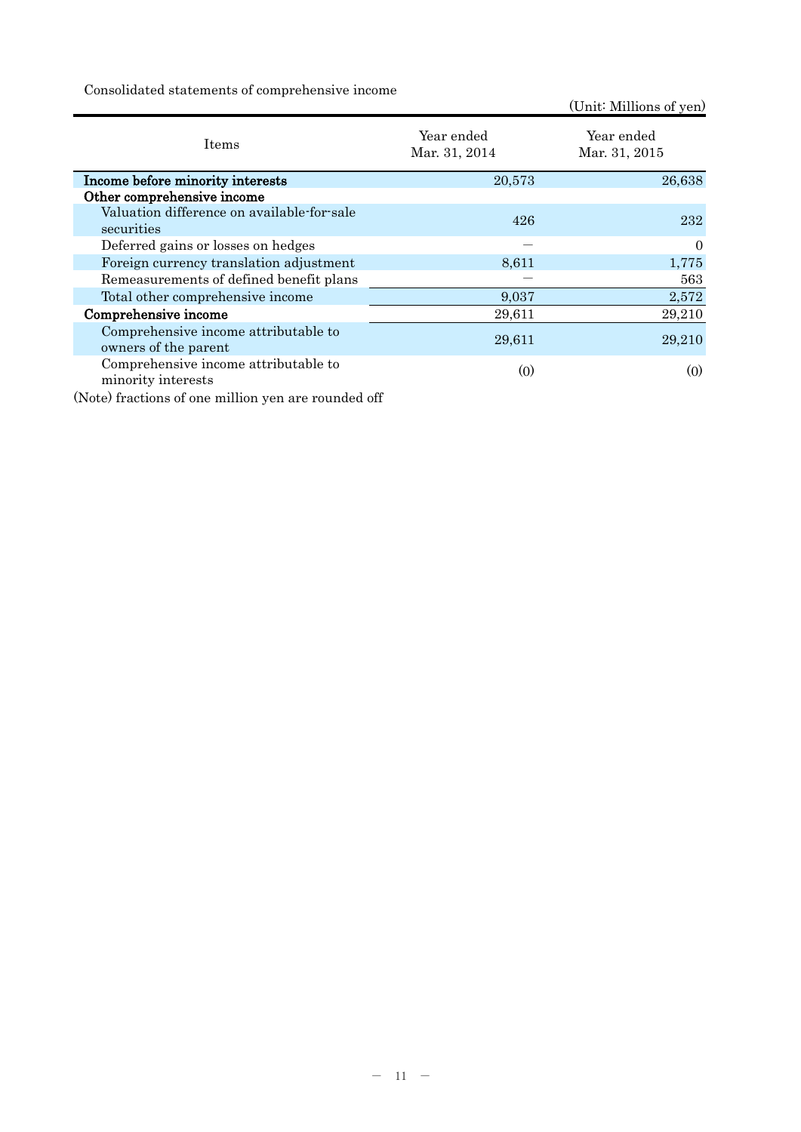Consolidated statements of comprehensive income

(Unit: Millions of yen)

| <b>Items</b>                                                 | Year ended<br>Mar. 31, 2014 | Year ended<br>Mar. 31, 2015 |
|--------------------------------------------------------------|-----------------------------|-----------------------------|
| Income before minority interests                             | 20,573                      | 26,638                      |
| Other comprehensive income                                   |                             |                             |
| Valuation difference on available-for-sale<br>securities     | 426                         | 232                         |
| Deferred gains or losses on hedges                           |                             | $\overline{0}$              |
| Foreign currency translation adjustment                      | 8,611                       | 1,775                       |
| Remeasurements of defined benefit plans                      |                             | 563                         |
| Total other comprehensive income                             | 9,037                       | 2,572                       |
| Comprehensive income                                         | 29,611                      | 29,210                      |
| Comprehensive income attributable to<br>owners of the parent | 29,611                      | 29,210                      |
| Comprehensive income attributable to<br>minority interests   | $\left( 0 \right)$          | (0)                         |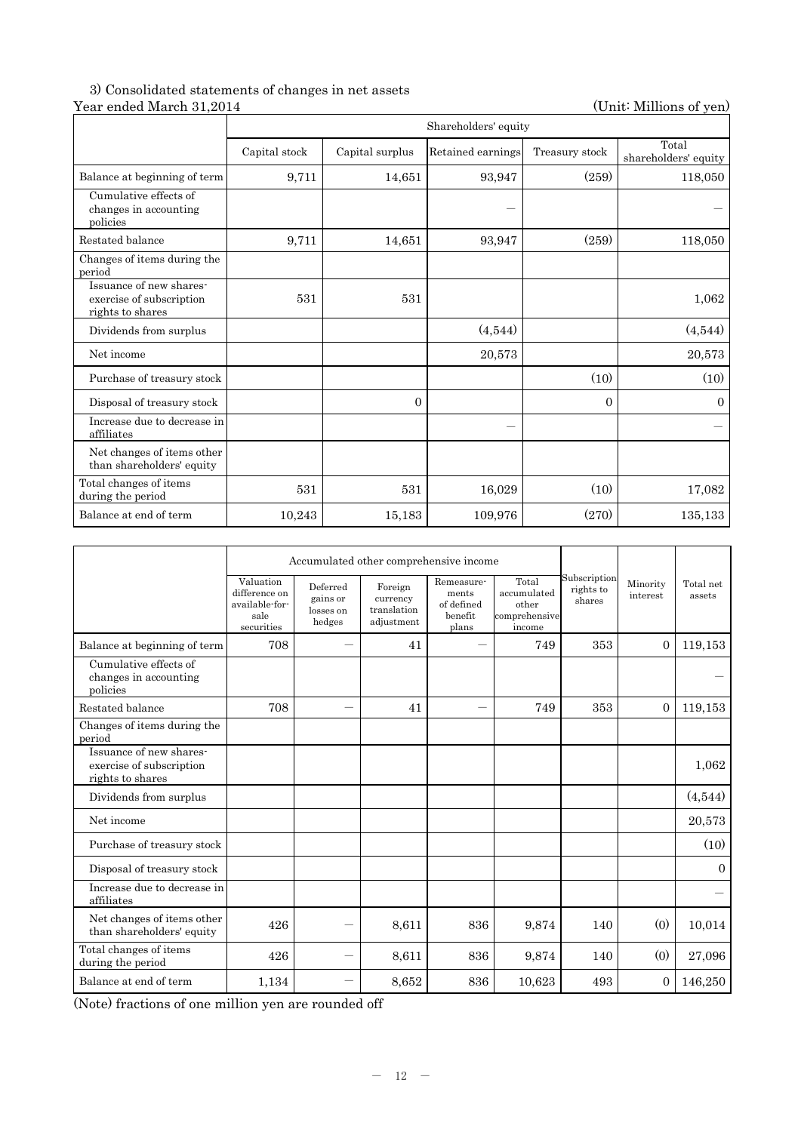## 3) Consolidated statements of changes in net assets Year ended March 31,2014 (Unit: Millions of yen)

|                                                                         |               |                 | Shareholders' equity |                |                               |
|-------------------------------------------------------------------------|---------------|-----------------|----------------------|----------------|-------------------------------|
|                                                                         | Capital stock | Capital surplus | Retained earnings    | Treasury stock | Total<br>shareholders' equity |
| Balance at beginning of term                                            | 9,711         | 14,651          | 93,947               | (259)          | 118,050                       |
| Cumulative effects of<br>changes in accounting<br>policies              |               |                 |                      |                |                               |
| Restated balance                                                        | 9,711         | 14,651          | 93,947               | (259)          | 118,050                       |
| Changes of items during the<br>period                                   |               |                 |                      |                |                               |
| Issuance of new shares-<br>exercise of subscription<br>rights to shares | 531           | 531             |                      |                | 1,062                         |
| Dividends from surplus                                                  |               |                 | (4,544)              |                | (4,544)                       |
| Net income                                                              |               |                 | 20,573               |                | 20,573                        |
| Purchase of treasury stock                                              |               |                 |                      | (10)           | (10)                          |
| Disposal of treasury stock                                              |               | $\Omega$        |                      | $\overline{0}$ | $\overline{0}$                |
| Increase due to decrease in<br>affiliates                               |               |                 |                      |                |                               |
| Net changes of items other<br>than shareholders' equity                 |               |                 |                      |                |                               |
| Total changes of items<br>during the period                             | 531           | 531             | 16,029               | (10)           | 17,082                        |
| Balance at end of term                                                  | 10,243        | 15,183          | 109,976              | (270)          | 135,133                       |

|                                                                         | Accumulated other comprehensive income                             |                                             |                                                  |                                                       |                                                          |                                     |                      |                     |
|-------------------------------------------------------------------------|--------------------------------------------------------------------|---------------------------------------------|--------------------------------------------------|-------------------------------------------------------|----------------------------------------------------------|-------------------------------------|----------------------|---------------------|
|                                                                         | Valuation<br>difference on<br>available-for-<br>sale<br>securities | Deferred<br>gains or<br>losses on<br>hedges | Foreign<br>currency<br>translation<br>adjustment | Remeasure-<br>ments<br>of defined<br>benefit<br>plans | Total<br>accumulated<br>other<br>comprehensive<br>income | Subscription<br>rights to<br>shares | Minority<br>interest | Total net<br>assets |
| Balance at beginning of term                                            | 708                                                                |                                             | 41                                               |                                                       | 749                                                      | 353                                 | $\Omega$             | 119,153             |
| Cumulative effects of<br>changes in accounting<br>policies              |                                                                    |                                             |                                                  |                                                       |                                                          |                                     |                      |                     |
| Restated balance                                                        | 708                                                                |                                             | 41                                               |                                                       | 749                                                      | 353                                 | $\Omega$             | 119,153             |
| Changes of items during the<br>period                                   |                                                                    |                                             |                                                  |                                                       |                                                          |                                     |                      |                     |
| Issuance of new shares-<br>exercise of subscription<br>rights to shares |                                                                    |                                             |                                                  |                                                       |                                                          |                                     |                      | 1,062               |
| Dividends from surplus                                                  |                                                                    |                                             |                                                  |                                                       |                                                          |                                     |                      | (4,544)             |
| Net income                                                              |                                                                    |                                             |                                                  |                                                       |                                                          |                                     |                      | 20,573              |
| Purchase of treasury stock                                              |                                                                    |                                             |                                                  |                                                       |                                                          |                                     |                      | (10)                |
| Disposal of treasury stock                                              |                                                                    |                                             |                                                  |                                                       |                                                          |                                     |                      | $\mathbf{0}$        |
| Increase due to decrease in<br>affiliates                               |                                                                    |                                             |                                                  |                                                       |                                                          |                                     |                      |                     |
| Net changes of items other<br>than shareholders' equity                 | 426                                                                |                                             | 8,611                                            | 836                                                   | 9,874                                                    | 140                                 | (0)                  | 10,014              |
| Total changes of items<br>during the period                             | 426                                                                |                                             | 8,611                                            | 836                                                   | 9,874                                                    | 140                                 | (0)                  | 27,096              |
| Balance at end of term                                                  | 1,134                                                              |                                             | 8,652                                            | 836                                                   | 10,623                                                   | 493                                 | $\mathbf{0}$         | 146,250             |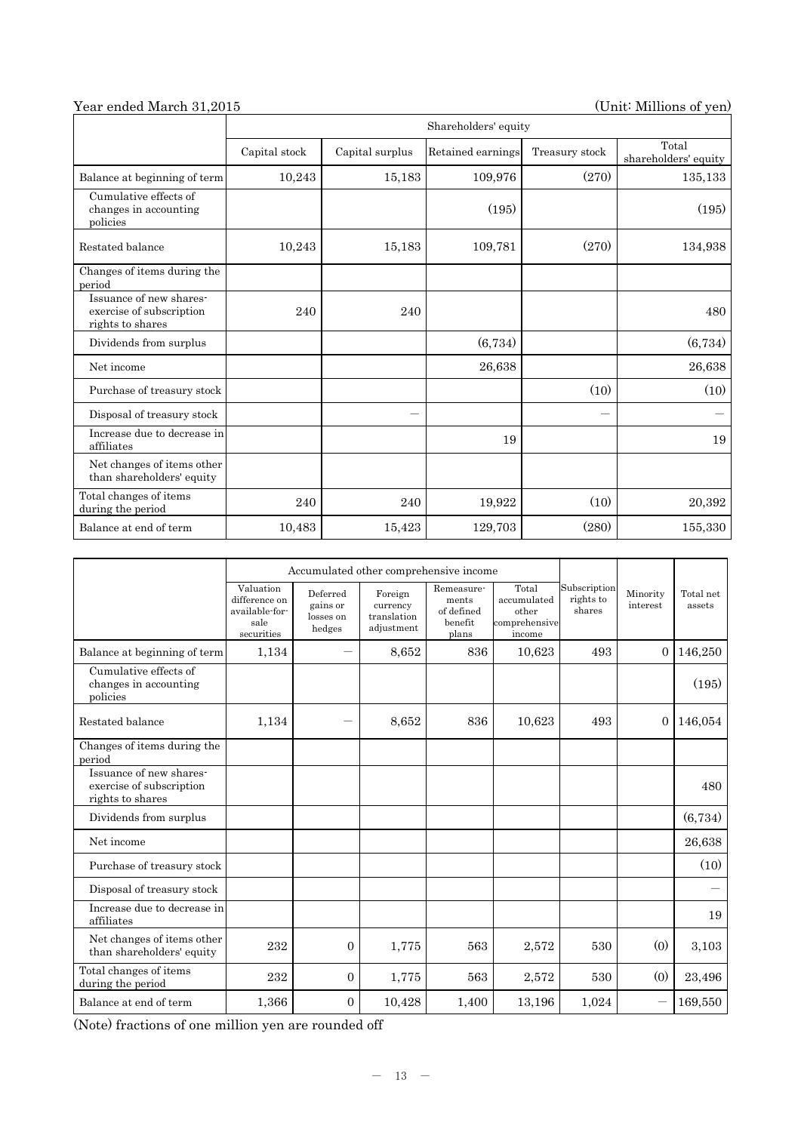## Year ended March 31,2015 (Unit: Millions of yen)

|                                                                         |               |                 | Shareholders' equity |                          |                               |
|-------------------------------------------------------------------------|---------------|-----------------|----------------------|--------------------------|-------------------------------|
|                                                                         | Capital stock | Capital surplus | Retained earnings    | Treasury stock           | Total<br>shareholders' equity |
| Balance at beginning of term                                            | 10,243        | 15,183          | 109,976              | (270)                    | 135,133                       |
| Cumulative effects of<br>changes in accounting<br>policies              |               |                 | (195)                |                          | (195)                         |
| Restated balance                                                        | 10,243        | 15,183          | 109,781              | (270)                    | 134,938                       |
| Changes of items during the<br>period                                   |               |                 |                      |                          |                               |
| Issuance of new shares-<br>exercise of subscription<br>rights to shares | 240           | 240             |                      |                          | 480                           |
| Dividends from surplus                                                  |               |                 | (6,734)              |                          | (6,734)                       |
| Net income                                                              |               |                 | 26,638               |                          | 26,638                        |
| Purchase of treasury stock                                              |               |                 |                      | (10)                     | (10)                          |
| Disposal of treasury stock                                              |               |                 |                      | $\overline{\phantom{0}}$ |                               |
| Increase due to decrease in<br>affiliates                               |               |                 | 19                   |                          | 19                            |
| Net changes of items other<br>than shareholders' equity                 |               |                 |                      |                          |                               |
| Total changes of items<br>during the period                             | 240           | 240             | 19,922               | (10)                     | 20,392                        |
| Balance at end of term                                                  | 10,483        | 15,423          | 129,703              | (280)                    | 155,330                       |

|                                                                         | Accumulated other comprehensive income                             |                                             |                                                  |                                                       |                                                          |                                     |                      |                     |
|-------------------------------------------------------------------------|--------------------------------------------------------------------|---------------------------------------------|--------------------------------------------------|-------------------------------------------------------|----------------------------------------------------------|-------------------------------------|----------------------|---------------------|
|                                                                         | Valuation<br>difference on<br>available-for-<br>sale<br>securities | Deferred<br>gains or<br>losses on<br>hedges | Foreign<br>currency<br>translation<br>adjustment | Remeasure-<br>ments<br>of defined<br>benefit<br>plans | Total<br>accumulated<br>other<br>comprehensive<br>income | Subscription<br>rights to<br>shares | Minority<br>interest | Total net<br>assets |
| Balance at beginning of term                                            | 1,134                                                              |                                             | 8,652                                            | 836                                                   | 10,623                                                   | 493                                 | $\Omega$             | 146,250             |
| Cumulative effects of<br>changes in accounting<br>policies              |                                                                    |                                             |                                                  |                                                       |                                                          |                                     |                      | (195)               |
| Restated balance                                                        | 1,134                                                              |                                             | 8,652                                            | 836                                                   | 10,623                                                   | 493                                 | $\overline{0}$       | 146,054             |
| Changes of items during the<br>period                                   |                                                                    |                                             |                                                  |                                                       |                                                          |                                     |                      |                     |
| Issuance of new shares-<br>exercise of subscription<br>rights to shares |                                                                    |                                             |                                                  |                                                       |                                                          |                                     |                      | 480                 |
| Dividends from surplus                                                  |                                                                    |                                             |                                                  |                                                       |                                                          |                                     |                      | (6,734)             |
| Net income                                                              |                                                                    |                                             |                                                  |                                                       |                                                          |                                     |                      | 26,638              |
| Purchase of treasury stock                                              |                                                                    |                                             |                                                  |                                                       |                                                          |                                     |                      | (10)                |
| Disposal of treasury stock                                              |                                                                    |                                             |                                                  |                                                       |                                                          |                                     |                      |                     |
| Increase due to decrease in<br>affiliates                               |                                                                    |                                             |                                                  |                                                       |                                                          |                                     |                      | 19                  |
| Net changes of items other<br>than shareholders' equity                 | 232                                                                | $\overline{0}$                              | 1,775                                            | 563                                                   | 2,572                                                    | 530                                 | (0)                  | 3,103               |
| Total changes of items<br>during the period                             | 232                                                                | $\overline{0}$                              | 1,775                                            | 563                                                   | 2,572                                                    | 530                                 | (0)                  | 23,496              |
| Balance at end of term                                                  | 1,366                                                              | 0                                           | 10,428                                           | 1,400                                                 | 13,196                                                   | 1,024                               |                      | 169,550             |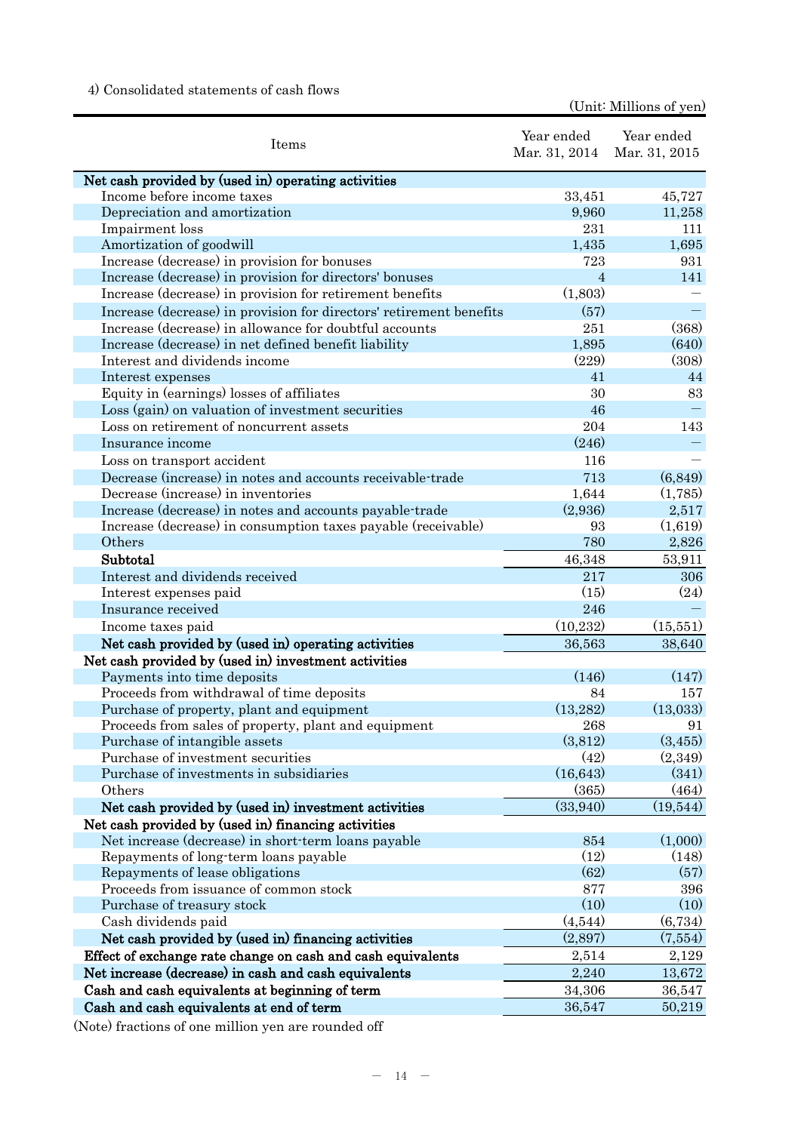## 4) Consolidated statements of cash flows

(Unit: Millions of yen)

| Items                                                               | Year ended<br>Mar. 31, 2014 | Year ended<br>Mar. 31, 2015 |
|---------------------------------------------------------------------|-----------------------------|-----------------------------|
| Net cash provided by (used in) operating activities                 |                             |                             |
| Income before income taxes                                          | 33,451                      | 45,727                      |
| Depreciation and amortization                                       | 9,960                       | 11,258                      |
| Impairment loss                                                     | 231                         | 111                         |
| Amortization of goodwill                                            | 1,435                       | 1,695                       |
| Increase (decrease) in provision for bonuses                        | 723                         | 931                         |
| Increase (decrease) in provision for directors' bonuses             | $\overline{4}$              | 141                         |
| Increase (decrease) in provision for retirement benefits            | (1,803)                     |                             |
| Increase (decrease) in provision for directors' retirement benefits | (57)                        |                             |
| Increase (decrease) in allowance for doubtful accounts              | 251                         | (368)                       |
| Increase (decrease) in net defined benefit liability                | 1,895                       | (640)                       |
| Interest and dividends income                                       | (229)                       | (308)                       |
| Interest expenses                                                   | 41                          | 44                          |
| Equity in (earnings) losses of affiliates                           | 30                          | 83                          |
| Loss (gain) on valuation of investment securities                   | 46                          |                             |
| Loss on retirement of noncurrent assets                             | 204                         | 143                         |
|                                                                     | (246)                       |                             |
| Insurance income                                                    |                             |                             |
| Loss on transport accident                                          | 116                         |                             |
| Decrease (increase) in notes and accounts receivable-trade          | 713                         | (6, 849)                    |
| Decrease (increase) in inventories                                  | 1,644                       | (1,785)                     |
| Increase (decrease) in notes and accounts payable-trade             | (2,936)                     | 2,517                       |
| Increase (decrease) in consumption taxes payable (receivable)       | 93                          | (1,619)                     |
| Others                                                              | 780                         | 2,826                       |
| Subtotal                                                            | 46,348                      | 53,911                      |
| Interest and dividends received                                     | 217                         | 306                         |
| Interest expenses paid                                              | (15)                        | (24)                        |
| Insurance received                                                  | 246                         |                             |
| Income taxes paid                                                   | (10, 232)                   | (15,551)                    |
| Net cash provided by (used in) operating activities                 | 36,563                      | 38,640                      |
| Net cash provided by (used in) investment activities                |                             |                             |
| Payments into time deposits                                         | (146)                       | (147)                       |
| Proceeds from withdrawal of time deposits                           | 84                          | 157                         |
| Purchase of property, plant and equipment                           | (13,282)                    | (13,033)                    |
| Proceeds from sales of property, plant and equipment                | 268                         | 91                          |
| Purchase of intangible assets                                       | (3,812)                     | (3, 455)                    |
| Purchase of investment securities                                   | (42)                        | (2,349)                     |
| Purchase of investments in subsidiaries                             | (16, 643)                   | (341)                       |
| Others                                                              | (365)                       | (464)                       |
| Net cash provided by (used in) investment activities                | (33,940)                    | (19,544)                    |
| Net cash provided by (used in) financing activities                 |                             |                             |
| Net increase (decrease) in short-term loans payable                 | 854                         | (1,000)                     |
| Repayments of long-term loans payable                               | (12)                        | (148)                       |
| Repayments of lease obligations                                     | (62)                        | (57)                        |
| Proceeds from issuance of common stock                              | 877                         | 396                         |
| Purchase of treasury stock                                          | (10)                        | (10)                        |
| Cash dividends paid                                                 | (4,544)                     | (6,734)                     |
| Net cash provided by (used in) financing activities                 | (2,897)                     | (7,554)                     |
| Effect of exchange rate change on cash and cash equivalents         | 2,514                       | 2,129                       |
| Net increase (decrease) in cash and cash equivalents                | 2,240                       | 13,672                      |
| Cash and cash equivalents at beginning of term                      | 34,306                      | 36,547                      |
| Cash and cash equivalents at end of term                            | 36,547                      | 50,219                      |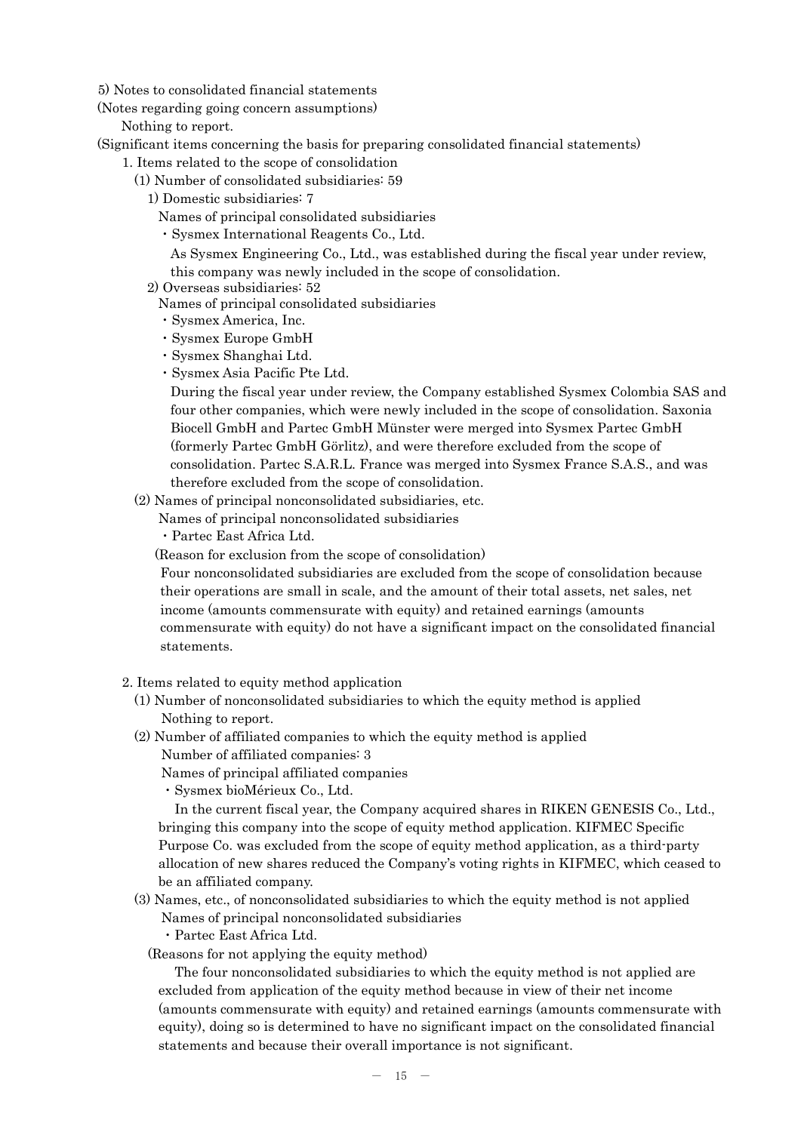5) Notes to consolidated financial statements

(Notes regarding going concern assumptions)

Nothing to report.

(Significant items concerning the basis for preparing consolidated financial statements)

- 1. Items related to the scope of consolidation
	- (1) Number of consolidated subsidiaries: 59
		- 1) Domestic subsidiaries: 7
			- Names of principal consolidated subsidiaries
			- ・Sysmex International Reagents Co., Ltd.

As Sysmex Engineering Co., Ltd., was established during the fiscal year under review, this company was newly included in the scope of consolidation.

- 2) Overseas subsidiaries: 52
	- Names of principal consolidated subsidiaries
	- ・Sysmex America, Inc.
	- ・Sysmex Europe GmbH
	- ・Sysmex Shanghai Ltd.
	- ・Sysmex Asia Pacific Pte Ltd.

During the fiscal year under review, the Company established Sysmex Colombia SAS and four other companies, which were newly included in the scope of consolidation. Saxonia Biocell GmbH and Partec GmbH Münster were merged into Sysmex Partec GmbH (formerly Partec GmbH Görlitz), and were therefore excluded from the scope of consolidation. Partec S.A.R.L. France was merged into Sysmex France S.A.S., and was therefore excluded from the scope of consolidation.

(2) Names of principal nonconsolidated subsidiaries, etc.

Names of principal nonconsolidated subsidiaries

・Partec East Africa Ltd.

(Reason for exclusion from the scope of consolidation)

Four nonconsolidated subsidiaries are excluded from the scope of consolidation because their operations are small in scale, and the amount of their total assets, net sales, net income (amounts commensurate with equity) and retained earnings (amounts commensurate with equity) do not have a significant impact on the consolidated financial statements.

- 2. Items related to equity method application
	- (1) Number of nonconsolidated subsidiaries to which the equity method is applied Nothing to report.
	- (2) Number of affiliated companies to which the equity method is applied
		- Number of affiliated companies: 3
		- Names of principal affiliated companies
		- ・Sysmex bioMérieux Co., Ltd.

 In the current fiscal year, the Company acquired shares in RIKEN GENESIS Co., Ltd., bringing this company into the scope of equity method application. KIFMEC Specific Purpose Co. was excluded from the scope of equity method application, as a third-party allocation of new shares reduced the Company's voting rights in KIFMEC, which ceased to be an affiliated company.

- (3) Names, etc., of nonconsolidated subsidiaries to which the equity method is not applied
	- Names of principal nonconsolidated subsidiaries

・Partec East Africa Ltd.

(Reasons for not applying the equity method)

 The four nonconsolidated subsidiaries to which the equity method is not applied are excluded from application of the equity method because in view of their net income (amounts commensurate with equity) and retained earnings (amounts commensurate with equity), doing so is determined to have no significant impact on the consolidated financial statements and because their overall importance is not significant.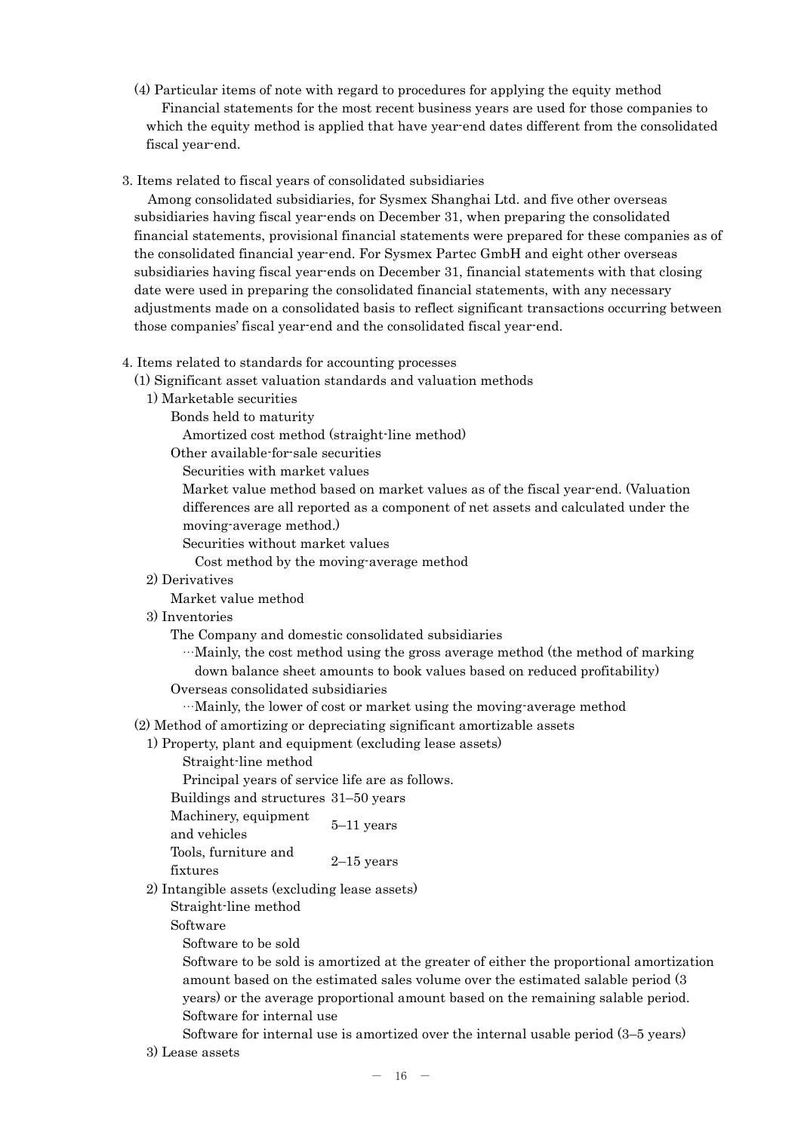- (4) Particular items of note with regard to procedures for applying the equity method Financial statements for the most recent business years are used for those companies to which the equity method is applied that have year-end dates different from the consolidated fiscal year-end.
- 3. Items related to fiscal years of consolidated subsidiaries

Among consolidated subsidiaries, for Sysmex Shanghai Ltd. and five other overseas subsidiaries having fiscal year-ends on December 31, when preparing the consolidated financial statements, provisional financial statements were prepared for these companies as of the consolidated financial year-end. For Sysmex Partec GmbH and eight other overseas subsidiaries having fiscal year-ends on December 31, financial statements with that closing date were used in preparing the consolidated financial statements, with any necessary adjustments made on a consolidated basis to reflect significant transactions occurring between those companies' fiscal year-end and the consolidated fiscal year-end.

4. Items related to standards for accounting processes

(1) Significant asset valuation standards and valuation methods

- 1) Marketable securities
	- Bonds held to maturity

Amortized cost method (straight-line method)

Other available-for-sale securities

Securities with market values

Market value method based on market values as of the fiscal year-end. (Valuation differences are all reported as a component of net assets and calculated under the moving-average method.)

Securities without market values

Cost method by the moving-average method

2) Derivatives

Market value method

3) Inventories

The Company and domestic consolidated subsidiaries

…Mainly, the cost method using the gross average method (the method of marking down balance sheet amounts to book values based on reduced profitability)

Overseas consolidated subsidiaries

…Mainly, the lower of cost or market using the moving-average method

(2) Method of amortizing or depreciating significant amortizable assets

1) Property, plant and equipment (excluding lease assets)

Straight-line method

Principal years of service life are as follows.

Buildings and structures 31–50 years

Machinery, equipment  $\frac{5}{-11}$  years and vehicles

Tools, furniture and fixtures 2–15 years

2) Intangible assets (excluding lease assets)

Straight-line method

Software

Software to be sold

Software to be sold is amortized at the greater of either the proportional amortization amount based on the estimated sales volume over the estimated salable period (3 years) or the average proportional amount based on the remaining salable period. Software for internal use

Software for internal use is amortized over the internal usable period (3–5 years) 3) Lease assets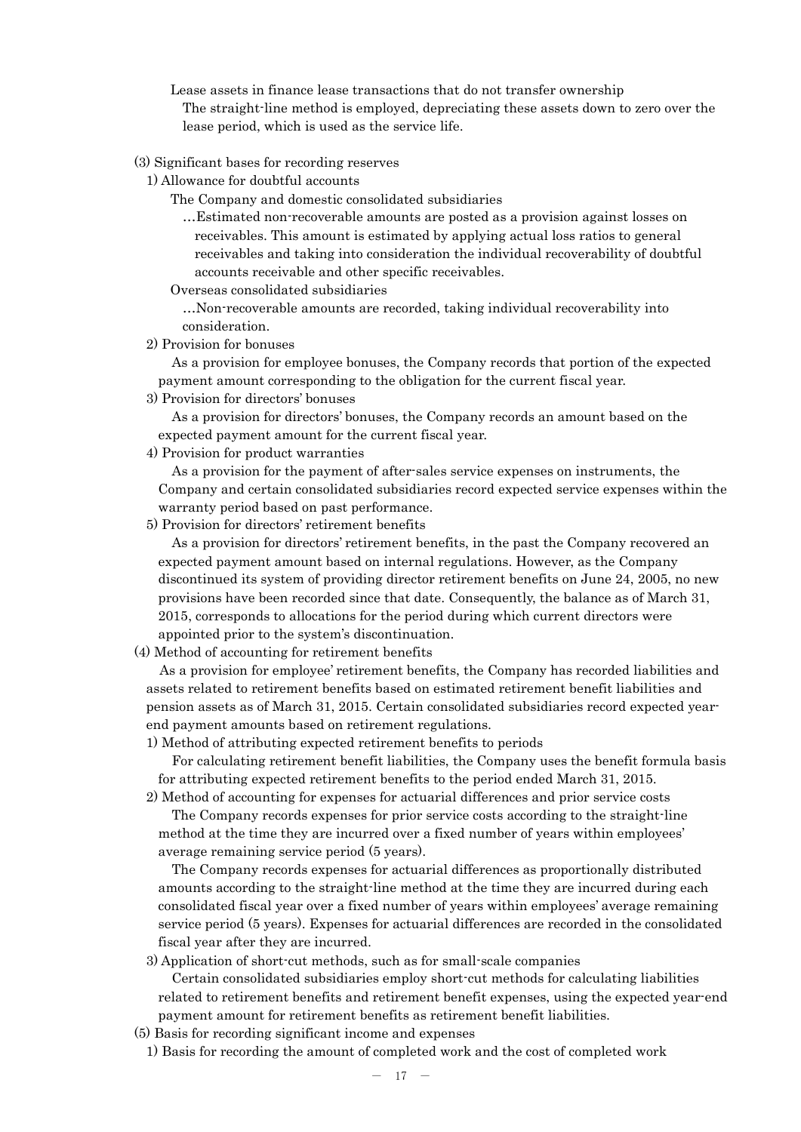Lease assets in finance lease transactions that do not transfer ownership The straight-line method is employed, depreciating these assets down to zero over the lease period, which is used as the service life.

- (3) Significant bases for recording reserves
	- 1) Allowance for doubtful accounts

The Company and domestic consolidated subsidiaries

- …Estimated non-recoverable amounts are posted as a provision against losses on receivables. This amount is estimated by applying actual loss ratios to general receivables and taking into consideration the individual recoverability of doubtful accounts receivable and other specific receivables.
- Overseas consolidated subsidiaries

…Non-recoverable amounts are recorded, taking individual recoverability into consideration.

2) Provision for bonuses

As a provision for employee bonuses, the Company records that portion of the expected payment amount corresponding to the obligation for the current fiscal year.

3) Provision for directors' bonuses

As a provision for directors' bonuses, the Company records an amount based on the expected payment amount for the current fiscal year.

4) Provision for product warranties

As a provision for the payment of after-sales service expenses on instruments, the Company and certain consolidated subsidiaries record expected service expenses within the warranty period based on past performance.

5) Provision for directors' retirement benefits

As a provision for directors' retirement benefits, in the past the Company recovered an expected payment amount based on internal regulations. However, as the Company discontinued its system of providing director retirement benefits on June 24, 2005, no new provisions have been recorded since that date. Consequently, the balance as of March 31, 2015, corresponds to allocations for the period during which current directors were appointed prior to the system's discontinuation.

(4) Method of accounting for retirement benefits

As a provision for employee' retirement benefits, the Company has recorded liabilities and assets related to retirement benefits based on estimated retirement benefit liabilities and pension assets as of March 31, 2015. Certain consolidated subsidiaries record expected yearend payment amounts based on retirement regulations.

1) Method of attributing expected retirement benefits to periods

For calculating retirement benefit liabilities, the Company uses the benefit formula basis for attributing expected retirement benefits to the period ended March 31, 2015.

2) Method of accounting for expenses for actuarial differences and prior service costs

The Company records expenses for prior service costs according to the straight-line method at the time they are incurred over a fixed number of years within employees' average remaining service period (5 years).

The Company records expenses for actuarial differences as proportionally distributed amounts according to the straight-line method at the time they are incurred during each consolidated fiscal year over a fixed number of years within employees' average remaining service period (5 years). Expenses for actuarial differences are recorded in the consolidated fiscal year after they are incurred.

3) Application of short-cut methods, such as for small-scale companies

Certain consolidated subsidiaries employ short-cut methods for calculating liabilities related to retirement benefits and retirement benefit expenses, using the expected year-end payment amount for retirement benefits as retirement benefit liabilities.

(5) Basis for recording significant income and expenses

1) Basis for recording the amount of completed work and the cost of completed work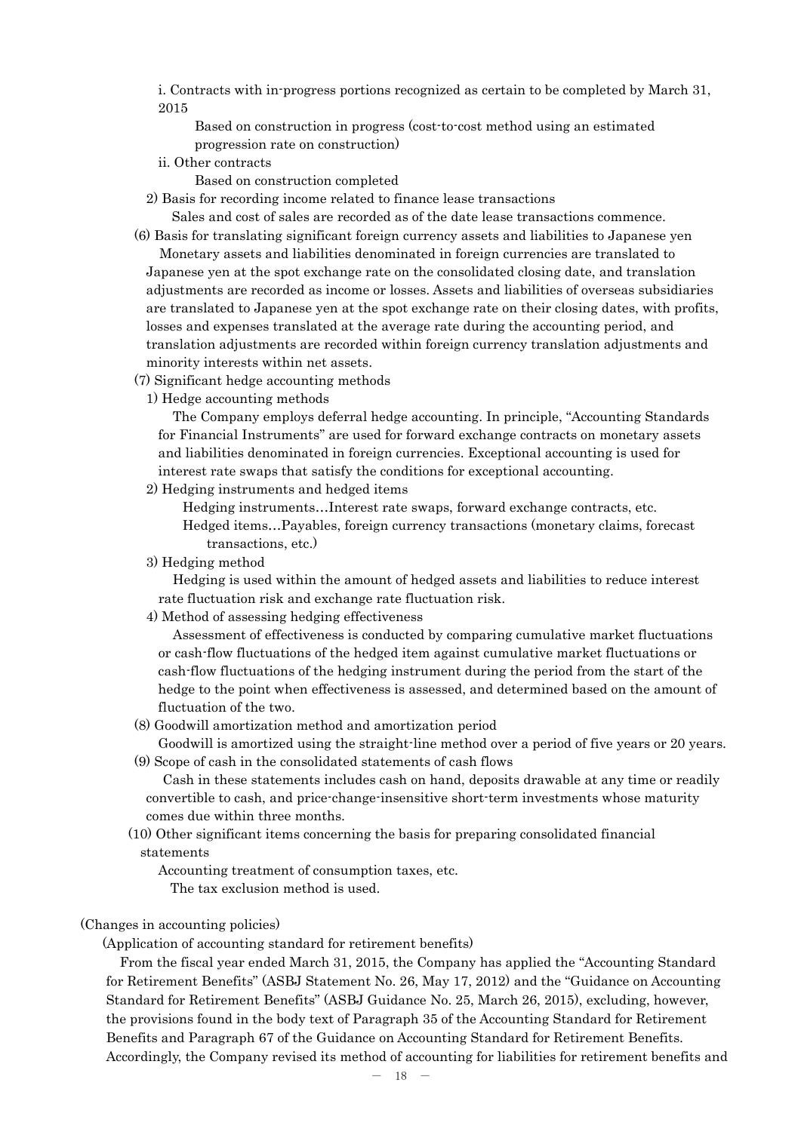i. Contracts with in-progress portions recognized as certain to be completed by March 31, 2015

Based on construction in progress (cost-to-cost method using an estimated progression rate on construction)

- ii. Other contracts
	- Based on construction completed

2) Basis for recording income related to finance lease transactions

Sales and cost of sales are recorded as of the date lease transactions commence.

(6) Basis for translating significant foreign currency assets and liabilities to Japanese yen Monetary assets and liabilities denominated in foreign currencies are translated to Japanese yen at the spot exchange rate on the consolidated closing date, and translation adjustments are recorded as income or losses. Assets and liabilities of overseas subsidiaries are translated to Japanese yen at the spot exchange rate on their closing dates, with profits, losses and expenses translated at the average rate during the accounting period, and translation adjustments are recorded within foreign currency translation adjustments and minority interests within net assets.

- (7) Significant hedge accounting methods
	- 1) Hedge accounting methods

The Company employs deferral hedge accounting. In principle, "Accounting Standards for Financial Instruments" are used for forward exchange contracts on monetary assets and liabilities denominated in foreign currencies. Exceptional accounting is used for interest rate swaps that satisfy the conditions for exceptional accounting.

2) Hedging instruments and hedged items

Hedging instruments…Interest rate swaps, forward exchange contracts, etc.

Hedged items…Payables, foreign currency transactions (monetary claims, forecast transactions, etc.)

3) Hedging method

Hedging is used within the amount of hedged assets and liabilities to reduce interest rate fluctuation risk and exchange rate fluctuation risk.

4) Method of assessing hedging effectiveness

Assessment of effectiveness is conducted by comparing cumulative market fluctuations or cash-flow fluctuations of the hedged item against cumulative market fluctuations or cash-flow fluctuations of the hedging instrument during the period from the start of the hedge to the point when effectiveness is assessed, and determined based on the amount of fluctuation of the two.

(8) Goodwill amortization method and amortization period

Goodwill is amortized using the straight-line method over a period of five years or 20 years. (9) Scope of cash in the consolidated statements of cash flows

Cash in these statements includes cash on hand, deposits drawable at any time or readily convertible to cash, and price-change-insensitive short-term investments whose maturity comes due within three months.

(10) Other significant items concerning the basis for preparing consolidated financial statements

Accounting treatment of consumption taxes, etc. The tax exclusion method is used.

## (Changes in accounting policies)

(Application of accounting standard for retirement benefits)

From the fiscal year ended March 31, 2015, the Company has applied the "Accounting Standard for Retirement Benefits" (ASBJ Statement No. 26, May 17, 2012) and the "Guidance on Accounting Standard for Retirement Benefits" (ASBJ Guidance No. 25, March 26, 2015), excluding, however, the provisions found in the body text of Paragraph 35 of the Accounting Standard for Retirement Benefits and Paragraph 67 of the Guidance on Accounting Standard for Retirement Benefits. Accordingly, the Company revised its method of accounting for liabilities for retirement benefits and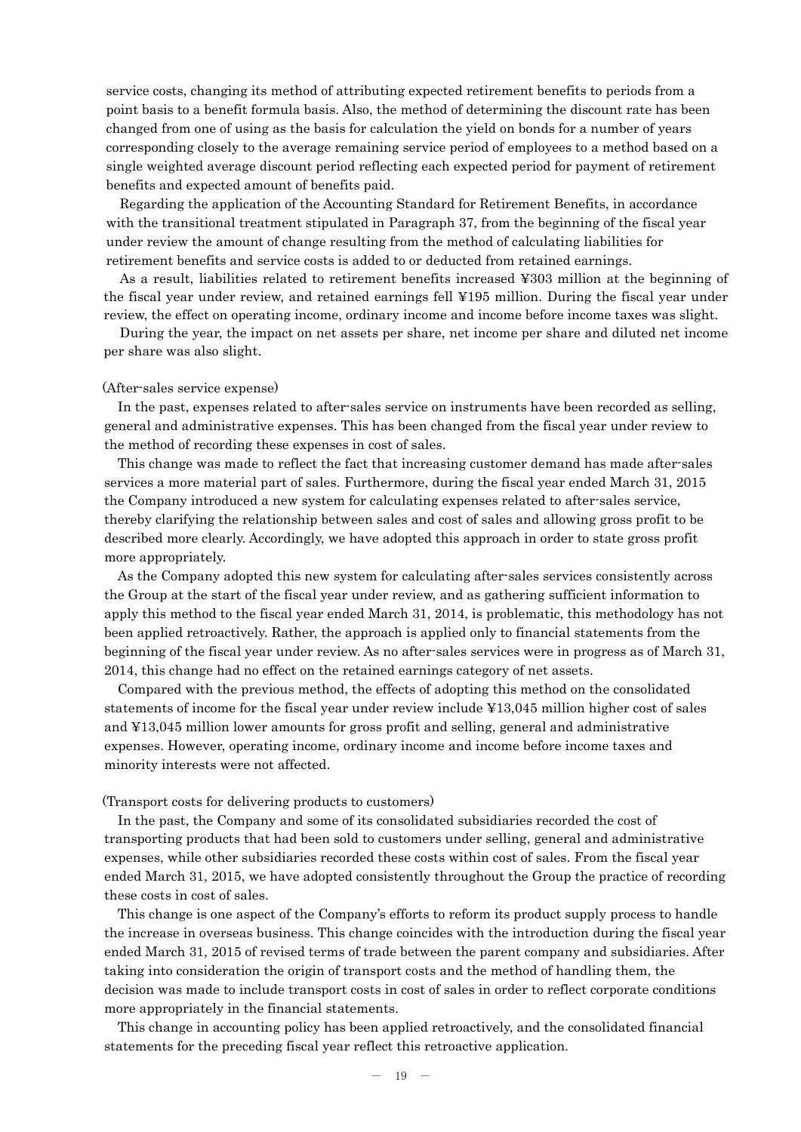service costs, changing its method of attributing expected retirement benefits to periods from a point basis to a benefit formula basis. Also, the method of determining the discount rate has been changed from one of using as the basis for calculation the yield on bonds for a number of years corresponding closely to the average remaining service period of employees to a method based on a single weighted average discount period reflecting each expected period for payment of retirement benefits and expected amount of benefits paid.

Regarding the application of the Accounting Standard for Retirement Benefits, in accordance with the transitional treatment stipulated in Paragraph 37, from the beginning of the fiscal year under review the amount of change resulting from the method of calculating liabilities for retirement benefits and service costs is added to or deducted from retained earnings.

As a result, liabilities related to retirement benefits increased ¥303 million at the beginning of the fiscal year under review, and retained earnings fell ¥195 million. During the fiscal year under review, the effect on operating income, ordinary income and income before income taxes was slight.

During the year, the impact on net assets per share, net income per share and diluted net income per share was also slight.

#### (After-sales service expense)

In the past, expenses related to after-sales service on instruments have been recorded as selling, general and administrative expenses. This has been changed from the fiscal year under review to the method of recording these expenses in cost of sales.

This change was made to reflect the fact that increasing customer demand has made after-sales services a more material part of sales. Furthermore, during the fiscal year ended March 31, 2015 the Company introduced a new system for calculating expenses related to after-sales service, thereby clarifying the relationship between sales and cost of sales and allowing gross profit to be described more clearly. Accordingly, we have adopted this approach in order to state gross profit more appropriately.

As the Company adopted this new system for calculating after-sales services consistently across the Group at the start of the fiscal year under review, and as gathering sufficient information to apply this method to the fiscal year ended March 31, 2014, is problematic, this methodology has not been applied retroactively. Rather, the approach is applied only to financial statements from the beginning of the fiscal year under review. As no after-sales services were in progress as of March 31, 2014, this change had no effect on the retained earnings category of net assets.

Compared with the previous method, the effects of adopting this method on the consolidated statements of income for the fiscal year under review include ¥13,045 million higher cost of sales and ¥13,045 million lower amounts for gross profit and selling, general and administrative expenses. However, operating income, ordinary income and income before income taxes and minority interests were not affected.

#### (Transport costs for delivering products to customers)

In the past, the Company and some of its consolidated subsidiaries recorded the cost of transporting products that had been sold to customers under selling, general and administrative expenses, while other subsidiaries recorded these costs within cost of sales. From the fiscal year ended March 31, 2015, we have adopted consistently throughout the Group the practice of recording these costs in cost of sales.

This change is one aspect of the Company's efforts to reform its product supply process to handle the increase in overseas business. This change coincides with the introduction during the fiscal year ended March 31, 2015 of revised terms of trade between the parent company and subsidiaries. After taking into consideration the origin of transport costs and the method of handling them, the decision was made to include transport costs in cost of sales in order to reflect corporate conditions more appropriately in the financial statements.

This change in accounting policy has been applied retroactively, and the consolidated financial statements for the preceding fiscal year reflect this retroactive application.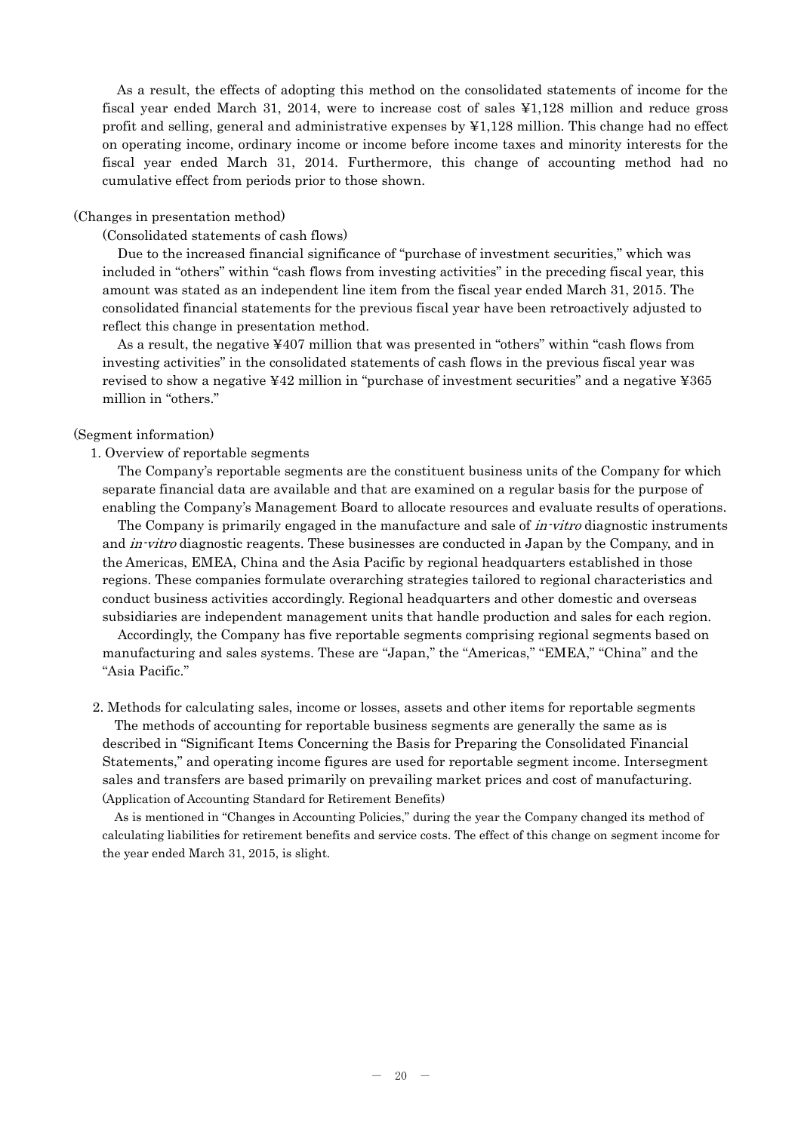As a result, the effects of adopting this method on the consolidated statements of income for the fiscal year ended March 31, 2014, were to increase cost of sales ¥1,128 million and reduce gross profit and selling, general and administrative expenses by ¥1,128 million. This change had no effect on operating income, ordinary income or income before income taxes and minority interests for the fiscal year ended March 31, 2014. Furthermore, this change of accounting method had no cumulative effect from periods prior to those shown.

#### (Changes in presentation method)

(Consolidated statements of cash flows)

Due to the increased financial significance of "purchase of investment securities," which was included in "others" within "cash flows from investing activities" in the preceding fiscal year, this amount was stated as an independent line item from the fiscal year ended March 31, 2015. The consolidated financial statements for the previous fiscal year have been retroactively adjusted to reflect this change in presentation method.

As a result, the negative ¥407 million that was presented in "others" within "cash flows from investing activities" in the consolidated statements of cash flows in the previous fiscal year was revised to show a negative ¥42 million in "purchase of investment securities" and a negative ¥365 million in "others."

### (Segment information)

#### 1. Overview of reportable segments

The Company's reportable segments are the constituent business units of the Company for which separate financial data are available and that are examined on a regular basis for the purpose of enabling the Company's Management Board to allocate resources and evaluate results of operations.

The Company is primarily engaged in the manufacture and sale of *in-vitro* diagnostic instruments and *in-vitro* diagnostic reagents. These businesses are conducted in Japan by the Company, and in the Americas, EMEA, China and the Asia Pacific by regional headquarters established in those regions. These companies formulate overarching strategies tailored to regional characteristics and conduct business activities accordingly. Regional headquarters and other domestic and overseas subsidiaries are independent management units that handle production and sales for each region.

Accordingly, the Company has five reportable segments comprising regional segments based on manufacturing and sales systems. These are "Japan," the "Americas," "EMEA," "China" and the "Asia Pacific."

2. Methods for calculating sales, income or losses, assets and other items for reportable segments The methods of accounting for reportable business segments are generally the same as is

described in "Significant Items Concerning the Basis for Preparing the Consolidated Financial Statements," and operating income figures are used for reportable segment income. Intersegment sales and transfers are based primarily on prevailing market prices and cost of manufacturing. (Application of Accounting Standard for Retirement Benefits)

As is mentioned in "Changes in Accounting Policies," during the year the Company changed its method of calculating liabilities for retirement benefits and service costs. The effect of this change on segment income for the year ended March 31, 2015, is slight.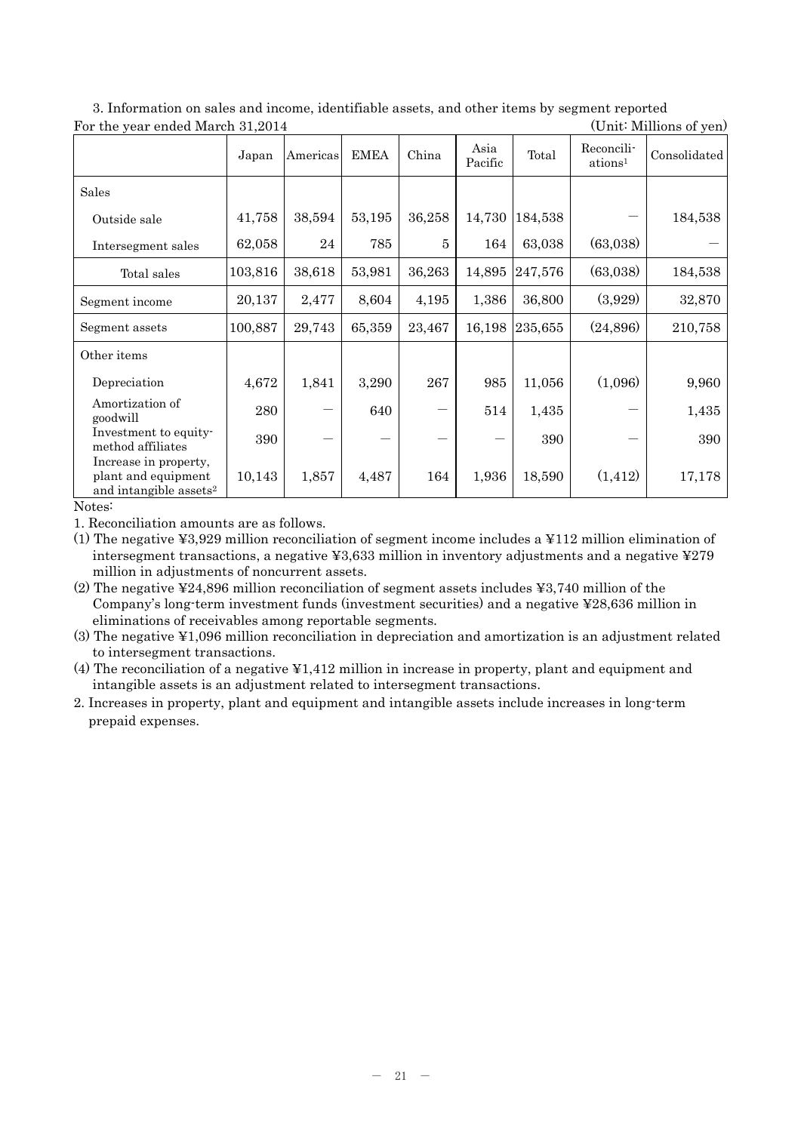| $\mathfrak{c}$ or the <i>j</i> car end a march $\sigma$ <sub>1</sub> , $\sigma$ is a | Japan   | Americas | <b>EMEA</b> | China        | Asia<br>Pacific | Total   | Reconcili-<br>ations <sup>1</sup> | $\sum_{i=1}^{n}$<br>Consolidated |
|--------------------------------------------------------------------------------------|---------|----------|-------------|--------------|-----------------|---------|-----------------------------------|----------------------------------|
| Sales                                                                                |         |          |             |              |                 |         |                                   |                                  |
| Outside sale                                                                         | 41,758  | 38,594   | 53,195      | 36,258       | 14,730          | 184,538 |                                   | 184,538                          |
| Intersegment sales                                                                   | 62,058  | 24       | 785         | $\mathbf{5}$ | 164             | 63,038  | (63,038)                          |                                  |
| Total sales                                                                          | 103,816 | 38,618   | 53,981      | 36,263       | 14,895          | 247,576 | (63,038)                          | 184,538                          |
| Segment income                                                                       | 20,137  | 2,477    | 8,604       | 4,195        | 1,386           | 36,800  | (3,929)                           | 32,870                           |
| Segment assets                                                                       | 100,887 | 29,743   | 65,359      | 23,467       | 16,198          | 235,655 | (24, 896)                         | 210,758                          |
| Other items                                                                          |         |          |             |              |                 |         |                                   |                                  |
| Depreciation                                                                         | 4,672   | 1,841    | 3,290       | 267          | 985             | 11,056  | (1,096)                           | 9,960                            |
| Amortization of<br>goodwill                                                          | 280     |          | 640         |              | 514             | 1,435   |                                   | 1,435                            |
| Investment to equity-<br>method affiliates                                           | 390     |          |             |              |                 | 390     |                                   | 390                              |
| Increase in property,<br>plant and equipment<br>and intangible assets <sup>2</sup>   | 10,143  | 1,857    | 4,487       | 164          | 1,936           | 18,590  | (1, 412)                          | 17,178                           |

3. Information on sales and income, identifiable assets, and other items by segment reported For the year ended March 31, 2014 (Unit: Millions of yen)

Notes:

1. Reconciliation amounts are as follows.

(1) The negative ¥3,929 million reconciliation of segment income includes a ¥112 million elimination of intersegment transactions, a negative ¥3,633 million in inventory adjustments and a negative ¥279 million in adjustments of noncurrent assets.

(2) The negative ¥24,896 million reconciliation of segment assets includes ¥3,740 million of the Company's long-term investment funds (investment securities) and a negative ¥28,636 million in eliminations of receivables among reportable segments.

(3) The negative ¥1,096 million reconciliation in depreciation and amortization is an adjustment related to intersegment transactions.

(4) The reconciliation of a negative ¥1,412 million in increase in property, plant and equipment and intangible assets is an adjustment related to intersegment transactions.

2. Increases in property, plant and equipment and intangible assets include increases in long-term prepaid expenses.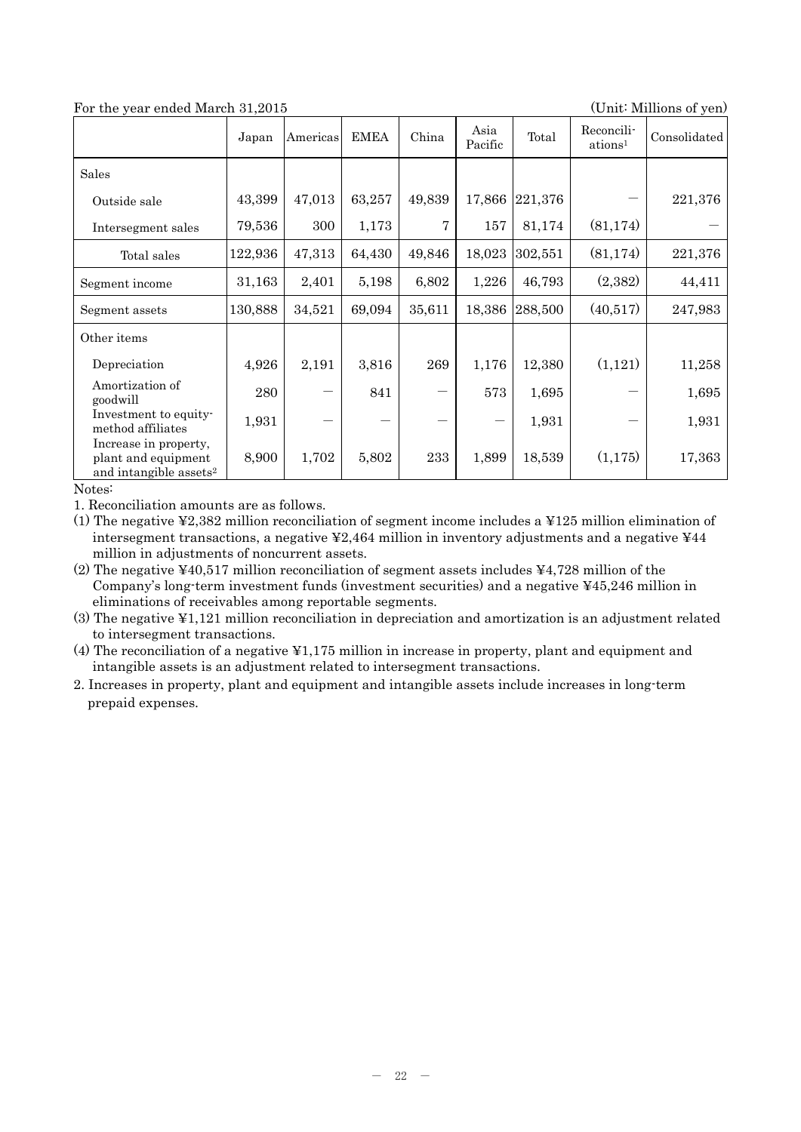| For the year ended March 31,2015<br>(Unit: Millions of yen)                        |         |          |             |        |                   |         |                                   |              |
|------------------------------------------------------------------------------------|---------|----------|-------------|--------|-------------------|---------|-----------------------------------|--------------|
|                                                                                    | Japan   | Americas | <b>EMEA</b> | China  | Asia<br>Pacific   | Total   | Reconcili-<br>ations <sup>1</sup> | Consolidated |
| Sales                                                                              |         |          |             |        |                   |         |                                   |              |
| Outside sale                                                                       | 43,399  | 47,013   | 63,257      | 49,839 | 17,866            | 221,376 |                                   | 221,376      |
| Intersegment sales                                                                 | 79,536  | 300      | 1,173       | 7      | 157               | 81,174  | (81, 174)                         |              |
| Total sales                                                                        | 122,936 | 47,313   | 64,430      | 49,846 | 18,023            | 302,551 | (81, 174)                         | 221,376      |
| Segment income                                                                     | 31,163  | 2,401    | 5,198       | 6,802  | 1,226             | 46,793  | (2,382)                           | 44,411       |
| Segment assets                                                                     | 130,888 | 34,521   | 69,094      | 35,611 | 18,386            | 288,500 | (40,517)                          | 247,983      |
| Other items                                                                        |         |          |             |        |                   |         |                                   |              |
| Depreciation                                                                       | 4,926   | 2,191    | 3,816       | 269    | 1,176             | 12,380  | (1,121)                           | 11,258       |
| Amortization of<br>goodwill                                                        | 280     |          | 841         |        | 573               | 1,695   |                                   | 1,695        |
| Investment to equity-<br>method affiliates                                         | 1,931   |          |             |        | $\qquad \qquad -$ | 1,931   |                                   | 1,931        |
| Increase in property,<br>plant and equipment<br>and intangible assets <sup>2</sup> | 8,900   | 1,702    | 5,802       | 233    | 1,899             | 18,539  | (1,175)                           | 17,363       |

Notes:

1. Reconciliation amounts are as follows.

(1) The negative ¥2,382 million reconciliation of segment income includes a ¥125 million elimination of intersegment transactions, a negative  $\text{\textsterling}2,464$  million in inventory adjustments and a negative  $\text{\textsterling}44$ million in adjustments of noncurrent assets.

(2) The negative ¥40,517 million reconciliation of segment assets includes ¥4,728 million of the Company's long-term investment funds (investment securities) and a negative ¥45,246 million in eliminations of receivables among reportable segments.

(3) The negative ¥1,121 million reconciliation in depreciation and amortization is an adjustment related to intersegment transactions.

(4) The reconciliation of a negative ¥1,175 million in increase in property, plant and equipment and intangible assets is an adjustment related to intersegment transactions.

2. Increases in property, plant and equipment and intangible assets include increases in long-term prepaid expenses.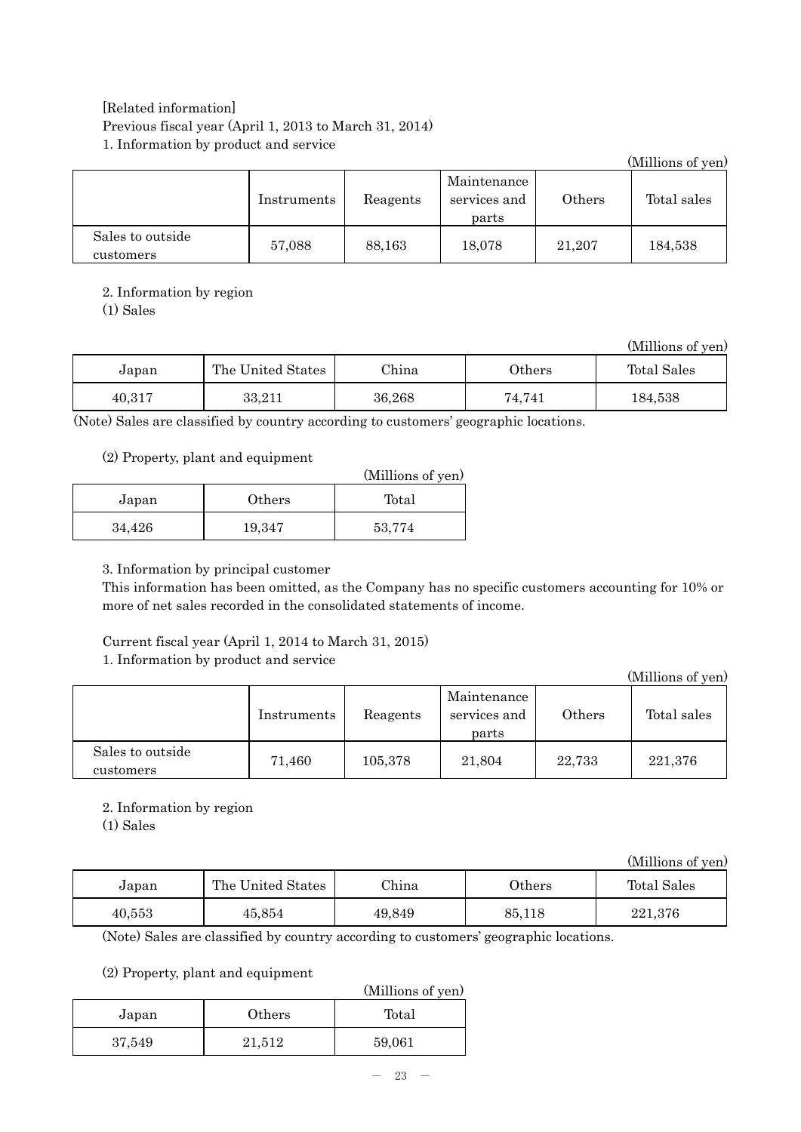## [Related information] Previous fiscal year (April 1, 2013 to March 31, 2014) 1. Information by product and service

|                               |             |          |                                      |        | (Millions of yen) |
|-------------------------------|-------------|----------|--------------------------------------|--------|-------------------|
|                               | Instruments | Reagents | Maintenance<br>services and<br>parts | Others | Total sales       |
| Sales to outside<br>customers | 57.088      | 88.163   | 18.078                               | 21,207 | 184,538           |

## 2. Information by region

(1) Sales

(Millions of yen)

| Japan  | The United States | China  | $0$ thers | Total Sales |
|--------|-------------------|--------|-----------|-------------|
| 40,317 | 33,211            | 36,268 | 74,741    | 184,538     |

(Note) Sales are classified by country according to customers' geographic locations.

## (2) Property, plant and equipment

|        |        | (Millions of yen) |
|--------|--------|-------------------|
| Japan  | Others | Total             |
| 34,426 | 19,347 | 53,774            |

## 3. Information by principal customer

This information has been omitted, as the Company has no specific customers accounting for 10% or more of net sales recorded in the consolidated statements of income.

# Current fiscal year (April 1, 2014 to March 31, 2015)

## 1. Information by product and service

(Millions of yen) Instruments Reagents Maintenance services and parts Others | Total sales Sales to outside customers 71,460 105,378 21,804 22,733 221,376

## 2. Information by region

(1) Sales

|        |                   |        |           | (Millions of yen) |
|--------|-------------------|--------|-----------|-------------------|
| Japan  | The United States | China  | $0$ thers | Total Sales       |
| 40,553 | 45,854            | 49.849 | 85,118    | 221,376           |

(Note) Sales are classified by country according to customers' geographic locations.

## (2) Property, plant and equipment

|        |        | (Millions of yen) |
|--------|--------|-------------------|
| Japan  | Others | Total             |
| 37,549 | 21,512 | 59,061            |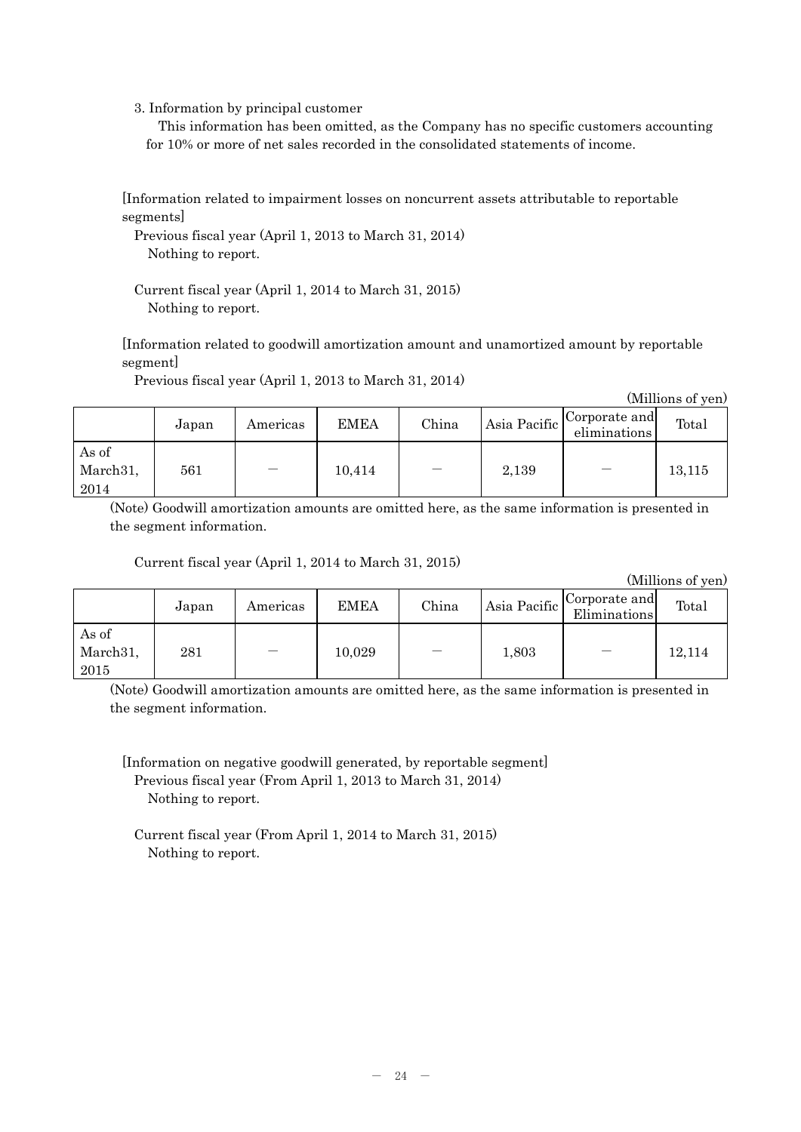3. Information by principal customer

This information has been omitted, as the Company has no specific customers accounting for 10% or more of net sales recorded in the consolidated statements of income.

[Information related to impairment losses on noncurrent assets attributable to reportable segments]

Previous fiscal year (April 1, 2013 to March 31, 2014) Nothing to report.

Current fiscal year (April 1, 2014 to March 31, 2015) Nothing to report.

[Information related to goodwill amortization amount and unamortized amount by reportable segment]

Previous fiscal year (April 1, 2013 to March 31, 2014)

(Millions of yen)

|                                        | Japan | Americas | <b>EMEA</b> | China | Asia Pacific | Corporate and<br>eliminations | Total  |
|----------------------------------------|-------|----------|-------------|-------|--------------|-------------------------------|--------|
| As of<br>March <sub>31</sub> ,<br>2014 | 561   |          | 10,414      |       | 2,139        | $\overline{\phantom{m}}$      | 13,115 |

(Note) Goodwill amortization amounts are omitted here, as the same information is presented in the segment information.

Current fiscal year (April 1, 2014 to March 31, 2015)

(Millions of yen)

|                                        | Japan | Americas | <b>EMEA</b> | China | Asia Pacific | Corporate and<br>Eliminations | Total  |
|----------------------------------------|-------|----------|-------------|-------|--------------|-------------------------------|--------|
| As of<br>March <sub>31</sub> ,<br>2015 | 281   |          | 10,029      |       | 1,803        | $\overline{\phantom{m}}$      | 12,114 |

(Note) Goodwill amortization amounts are omitted here, as the same information is presented in the segment information.

[Information on negative goodwill generated, by reportable segment] Previous fiscal year (From April 1, 2013 to March 31, 2014) Nothing to report.

Current fiscal year (From April 1, 2014 to March 31, 2015) Nothing to report.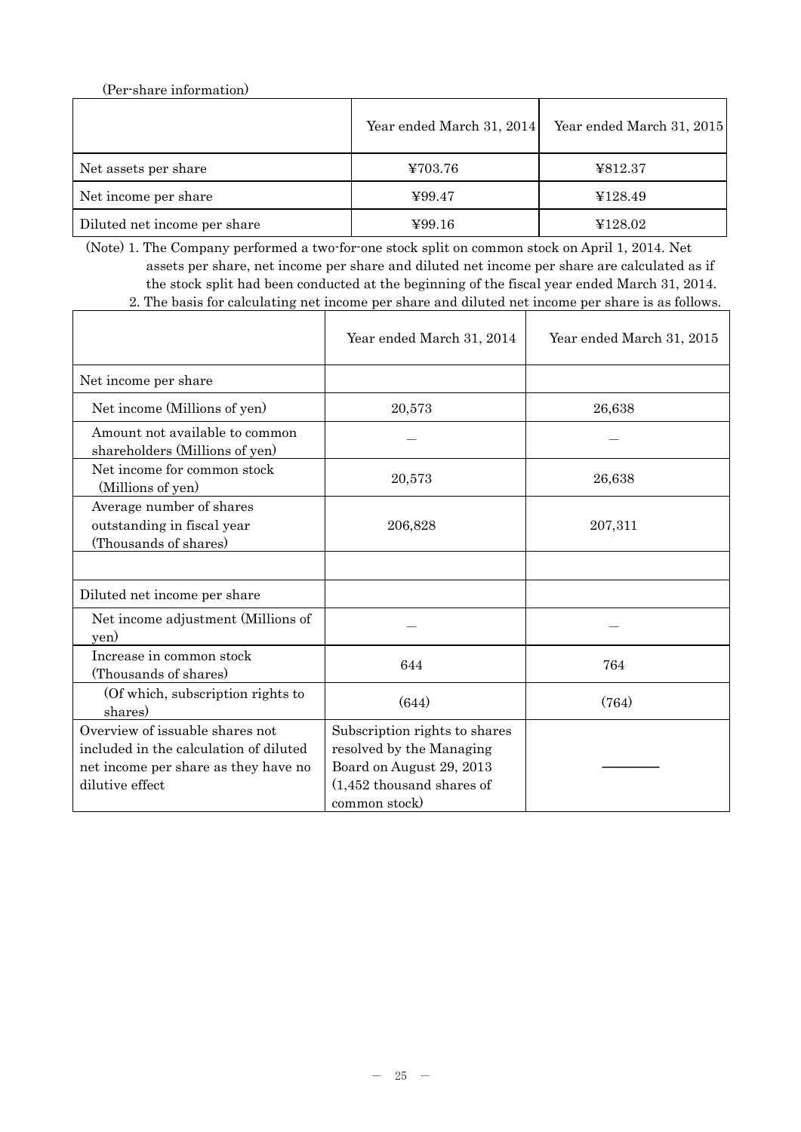(Per-share information)

|                              | Year ended March 31, 2014 | Year ended March 31, 2015 |
|------------------------------|---------------------------|---------------------------|
| Net assets per share         | ¥703.76                   | ¥812.37                   |
| Net income per share         | 499.47                    | ¥128.49                   |
| Diluted net income per share | $\text{Y}99.16$           | ¥128.02                   |

(Note) 1. The Company performed a two-for-one stock split on common stock on April 1, 2014. Net assets per share, net income per share and diluted net income per share are calculated as if the stock split had been conducted at the beginning of the fiscal year ended March 31, 2014. 2. The basis for calculating net income per share and diluted net income per share is as follows.

|                                                                                                                                      | Year ended March 31, 2014                                                                                                              | Year ended March 31, 2015 |
|--------------------------------------------------------------------------------------------------------------------------------------|----------------------------------------------------------------------------------------------------------------------------------------|---------------------------|
| Net income per share                                                                                                                 |                                                                                                                                        |                           |
| Net income (Millions of yen)                                                                                                         | 20,573                                                                                                                                 | 26,638                    |
| Amount not available to common<br>shareholders (Millions of yen)                                                                     |                                                                                                                                        |                           |
| Net income for common stock<br>(Millions of yen)                                                                                     | 20,573                                                                                                                                 | 26,638                    |
| Average number of shares<br>outstanding in fiscal year<br>(Thousands of shares)                                                      | 206,828                                                                                                                                | 207,311                   |
|                                                                                                                                      |                                                                                                                                        |                           |
| Diluted net income per share                                                                                                         |                                                                                                                                        |                           |
| Net income adjustment (Millions of<br>yen)                                                                                           |                                                                                                                                        |                           |
| Increase in common stock<br>(Thousands of shares)                                                                                    | 644                                                                                                                                    | 764                       |
| (Of which, subscription rights to<br>shares)                                                                                         | (644)                                                                                                                                  | (764)                     |
| Overview of issuable shares not<br>included in the calculation of diluted<br>net income per share as they have no<br>dilutive effect | Subscription rights to shares<br>resolved by the Managing<br>Board on August 29, 2013<br>$(1,452)$ thousand shares of<br>common stock) |                           |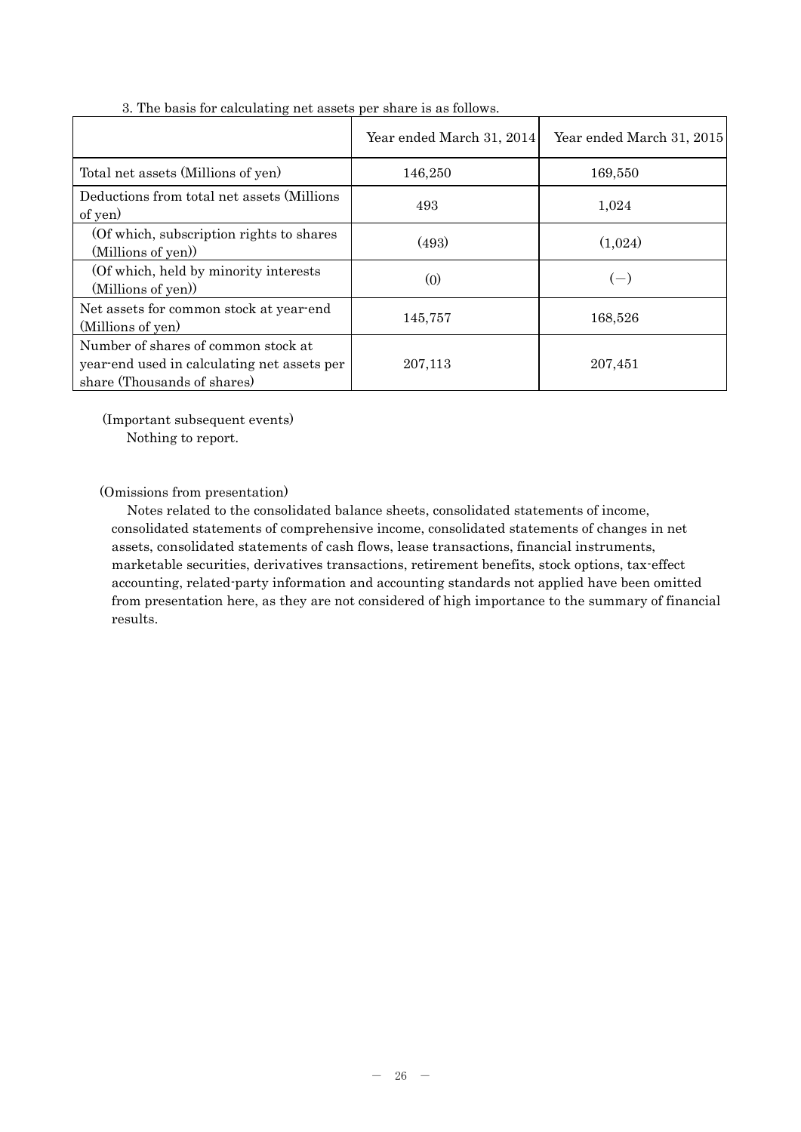|                                                                                                                   | Year ended March 31, 2014 | Year ended March 31, 2015 |
|-------------------------------------------------------------------------------------------------------------------|---------------------------|---------------------------|
| Total net assets (Millions of yen)                                                                                | 146,250                   | 169,550                   |
| Deductions from total net assets (Millions<br>of yen)                                                             | 493                       | 1,024                     |
| (Of which, subscription rights to shares)<br>(Millions of yen))                                                   | (493)                     | (1,024)                   |
| (Of which, held by minority interests)<br>(Millions of yen))                                                      | (0)                       | $(-)$                     |
| Net assets for common stock at year-end<br>(Millions of yen)                                                      | 145,757                   | 168,526                   |
| Number of shares of common stock at<br>year-end used in calculating net assets per<br>share (Thousands of shares) | 207,113                   | 207,451                   |

3. The basis for calculating net assets per share is as follows.

(Important subsequent events)

Nothing to report.

(Omissions from presentation)

Notes related to the consolidated balance sheets, consolidated statements of income, consolidated statements of comprehensive income, consolidated statements of changes in net assets, consolidated statements of cash flows, lease transactions, financial instruments, marketable securities, derivatives transactions, retirement benefits, stock options, tax-effect accounting, related-party information and accounting standards not applied have been omitted from presentation here, as they are not considered of high importance to the summary of financial results.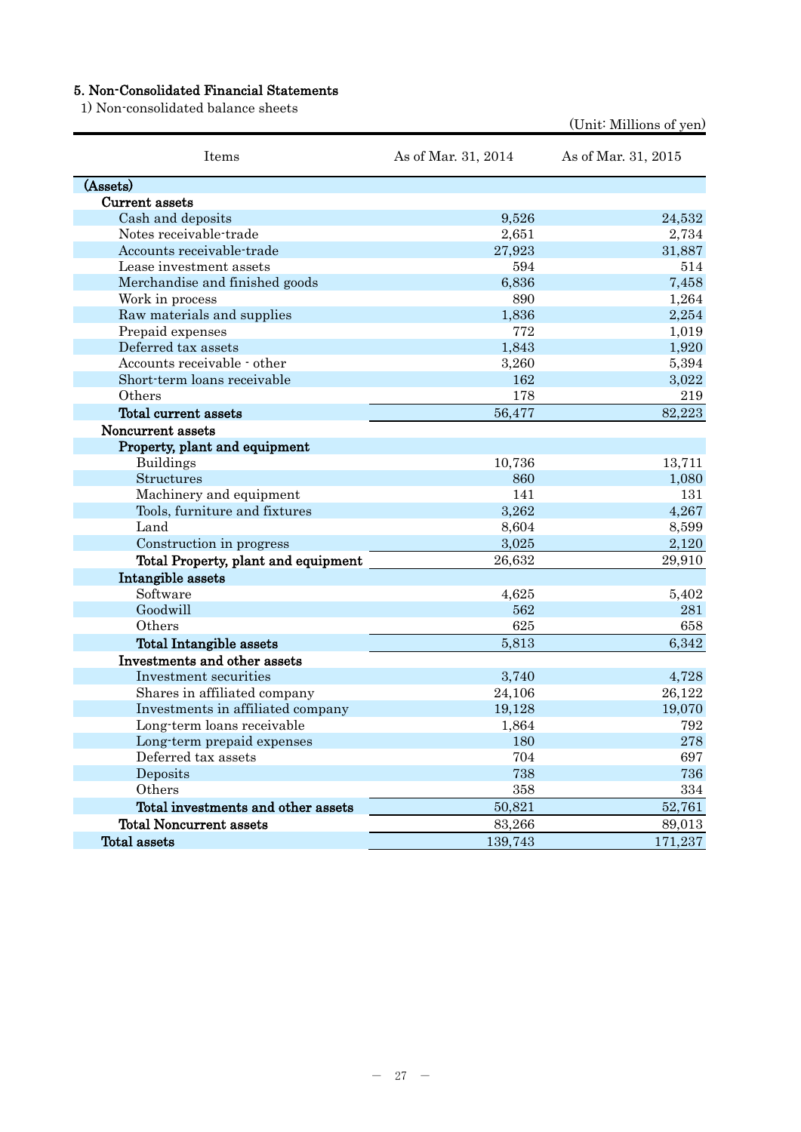## 5. Non-Consolidated Financial Statements

1) Non-consolidated balance sheets

| Items                               | As of Mar. 31, 2014 | As of Mar. 31, 2015 |
|-------------------------------------|---------------------|---------------------|
| (Assets)                            |                     |                     |
| Current assets                      |                     |                     |
| Cash and deposits                   | 9,526               | 24,532              |
| Notes receivable-trade              | 2,651               | 2,734               |
| Accounts receivable-trade           | 27,923              | 31,887              |
| Lease investment assets             | 594                 | 514                 |
| Merchandise and finished goods      | 6,836               | 7,458               |
| Work in process                     | 890                 | 1,264               |
| Raw materials and supplies          | 1,836               | 2,254               |
| Prepaid expenses                    | 772                 | 1,019               |
| Deferred tax assets                 | 1,843               | 1,920               |
| Accounts receivable - other         | 3,260               | 5,394               |
| Short-term loans receivable         | 162                 | 3,022               |
| Others                              | 178                 | 219                 |
| Total current assets                | 56,477              | 82,223              |
| Noncurrent assets                   |                     |                     |
| Property, plant and equipment       |                     |                     |
| <b>Buildings</b>                    | 10,736              | 13,711              |
| Structures                          | 860                 | 1,080               |
| Machinery and equipment             | 141                 | 131                 |
| Tools, furniture and fixtures       | 3,262               | 4,267               |
| Land                                | 8,604               | 8,599               |
| Construction in progress            | 3,025               | 2,120               |
| Total Property, plant and equipment | 26,632              | 29,910              |
| Intangible assets                   |                     |                     |
| Software                            | 4,625               | 5,402               |
| Goodwill                            | 562                 | 281                 |
| Others                              | 625                 | 658                 |
| Total Intangible assets             | 5,813               | 6,342               |
| Investments and other assets        |                     |                     |
| Investment securities               | 3,740               | 4,728               |
| Shares in affiliated company        | 24,106              | 26,122              |
| Investments in affiliated company   | 19,128              | 19,070              |
| Long-term loans receivable          | 1,864               | 792                 |
| Long-term prepaid expenses          | 180                 | 278                 |
| Deferred tax assets                 | 704                 | 697                 |
| Deposits                            | 738                 | 736                 |
| Others                              | 358                 | 334                 |
| Total investments and other assets  | 50,821              | 52,761              |
| <b>Total Noncurrent assets</b>      | 83,266              | 89,013              |
| Total assets                        | 139,743             | 171,237             |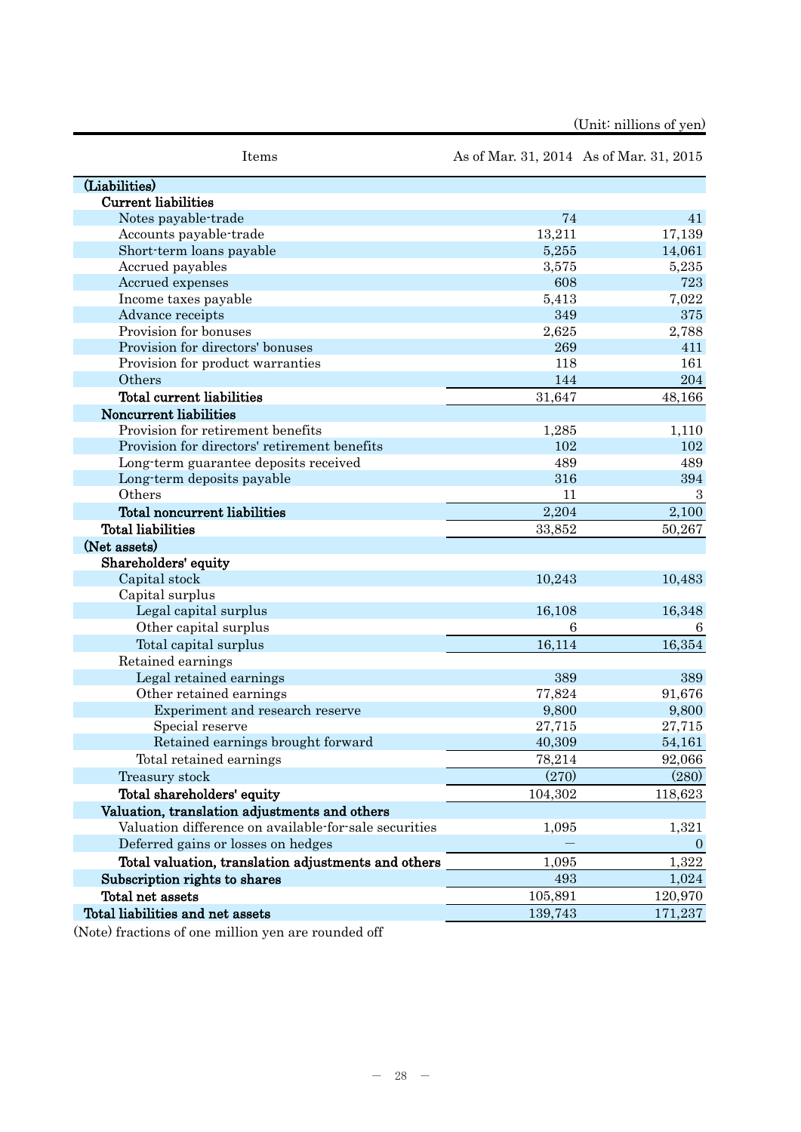|  | (Unit: nillions of yen) |  |
|--|-------------------------|--|
|--|-------------------------|--|

| Items                                                 |         | As of Mar. 31, 2014 As of Mar. 31, 2015 |
|-------------------------------------------------------|---------|-----------------------------------------|
| (Liabilities)                                         |         |                                         |
| <b>Current liabilities</b>                            |         |                                         |
| Notes payable-trade                                   | 74      | 41                                      |
| Accounts payable-trade                                | 13,211  | 17,139                                  |
| Short-term loans payable                              | 5,255   | 14,061                                  |
| Accrued payables                                      | 3,575   | 5,235                                   |
| Accrued expenses                                      | 608     | 723                                     |
| Income taxes payable                                  | 5,413   | 7,022                                   |
| Advance receipts                                      | 349     | 375                                     |
| Provision for bonuses                                 | 2,625   | 2,788                                   |
| Provision for directors' bonuses                      | 269     | 411                                     |
| Provision for product warranties                      | 118     | 161                                     |
| Others                                                | 144     | 204                                     |
| Total current liabilities                             | 31,647  | 48,166                                  |
| Noncurrent liabilities                                |         |                                         |
| Provision for retirement benefits                     | 1,285   | 1,110                                   |
| Provision for directors' retirement benefits          | 102     | 102                                     |
| Long-term guarantee deposits received                 | 489     | 489                                     |
| Long-term deposits payable                            | 316     | 394                                     |
| Others                                                | 11      | 3                                       |
| Total noncurrent liabilities                          | 2,204   | 2,100                                   |
| <b>Total liabilities</b>                              | 33,852  | 50,267                                  |
| (Net assets)                                          |         |                                         |
| Shareholders' equity                                  |         |                                         |
| Capital stock                                         | 10,243  | 10,483                                  |
| Capital surplus                                       |         |                                         |
| Legal capital surplus                                 | 16,108  | 16,348                                  |
| Other capital surplus                                 | 6       | 6                                       |
| Total capital surplus                                 | 16,114  | 16,354                                  |
| Retained earnings                                     |         |                                         |
| Legal retained earnings                               | 389     | 389                                     |
| Other retained earnings                               | 77,824  | 91,676                                  |
| Experiment and research reserve                       | 9,800   | 9,800                                   |
| Special reserve                                       | 27,715  | 27,715                                  |
| Retained earnings brought forward                     | 40,309  | 54,161                                  |
| Total retained earnings                               | 78,214  | 92,066                                  |
| Treasury stock                                        | (270)   | (280)                                   |
| Total shareholders' equity                            | 104,302 | 118,623                                 |
| Valuation, translation adjustments and others         |         |                                         |
| Valuation difference on available for sale securities | 1,095   | 1,321                                   |
| Deferred gains or losses on hedges                    |         | $\theta$                                |
| Total valuation, translation adjustments and others   | 1,095   | 1,322                                   |
| Subscription rights to shares                         | 493     | 1,024                                   |
| Total net assets                                      | 105,891 | 120,970                                 |
| Total liabilities and net assets                      | 139,743 | 171,237                                 |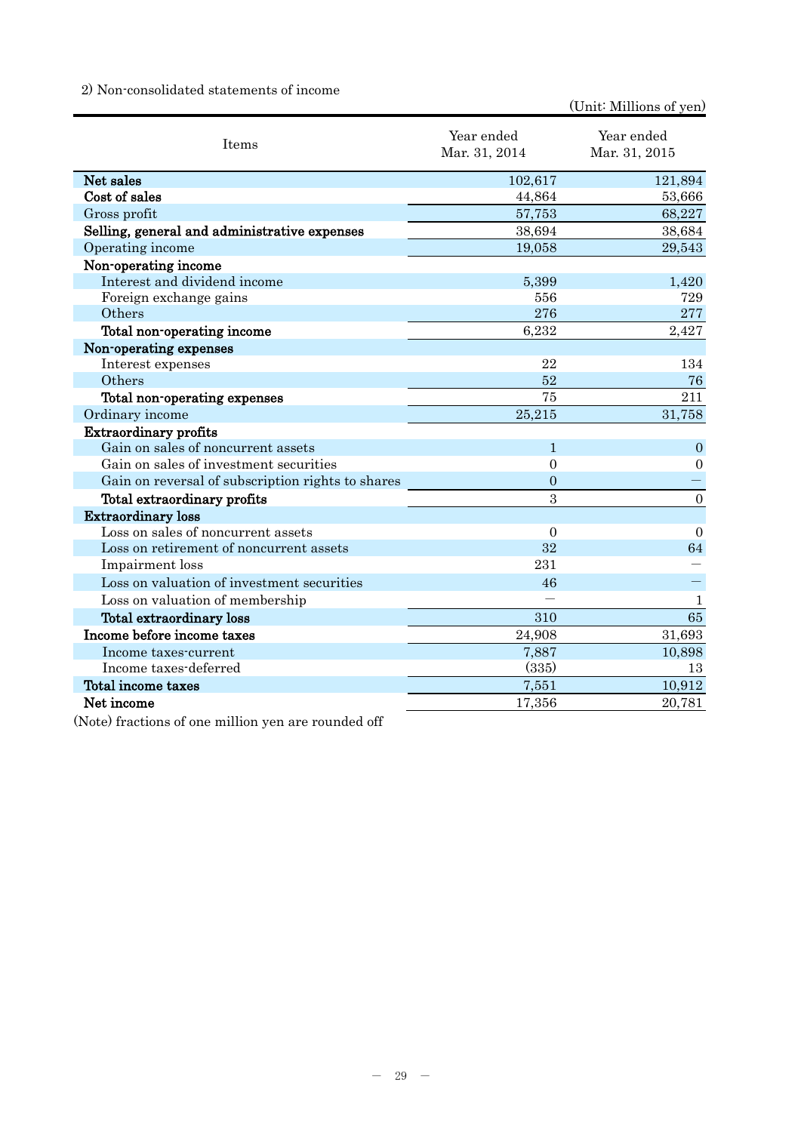## 2) Non-consolidated statements of income

(Unit: Millions of yen)

| Items                                             | Year ended<br>Mar. 31, 2014 | Year ended<br>Mar. 31, 2015 |
|---------------------------------------------------|-----------------------------|-----------------------------|
| Net sales                                         | 102,617                     | 121,894                     |
| Cost of sales                                     | 44,864                      | 53,666                      |
| Gross profit                                      | 57,753                      | 68,227                      |
| Selling, general and administrative expenses      | 38,694                      | 38,684                      |
| Operating income                                  | 19,058                      | 29,543                      |
| Non-operating income                              |                             |                             |
| Interest and dividend income                      | 5,399                       | 1,420                       |
| Foreign exchange gains                            | 556                         | 729                         |
| Others                                            | 276                         | 277                         |
| Total non-operating income                        | 6,232                       | 2,427                       |
| Non-operating expenses                            |                             |                             |
| Interest expenses                                 | 22                          | 134                         |
| Others                                            | 52                          | 76                          |
| Total non-operating expenses                      | 75                          | 211                         |
| Ordinary income                                   | 25,215                      | 31,758                      |
| <b>Extraordinary profits</b>                      |                             |                             |
| Gain on sales of noncurrent assets                | 1                           | $\overline{0}$              |
| Gain on sales of investment securities            | $\mathbf{0}$                | $\overline{0}$              |
| Gain on reversal of subscription rights to shares | $\overline{0}$              |                             |
| Total extraordinary profits                       | 3                           | $\boldsymbol{0}$            |
| <b>Extraordinary loss</b>                         |                             |                             |
| Loss on sales of noncurrent assets                | $\overline{0}$              | $\Omega$                    |
| Loss on retirement of noncurrent assets           | 32                          | 64                          |
| Impairment loss                                   | 231                         |                             |
| Loss on valuation of investment securities        | 46                          |                             |
| Loss on valuation of membership                   |                             | $\mathbf{1}$                |
| Total extraordinary loss                          | 310                         | 65                          |
| Income before income taxes                        | 24,908                      | 31,693                      |
| Income taxes-current                              | 7,887                       | 10,898                      |
| Income taxes-deferred                             | (335)                       | 13                          |
| Total income taxes                                | 7,551                       | 10,912                      |
| Net income                                        | 17,356                      | 20,781                      |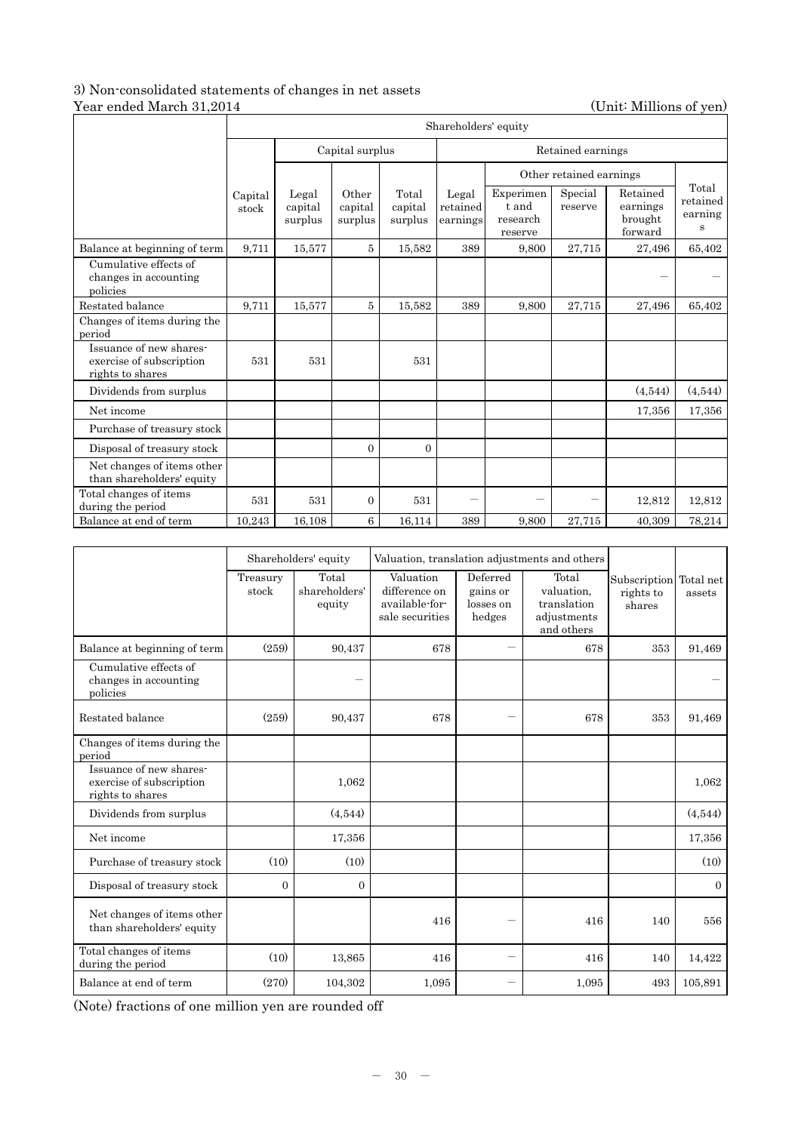## 3) Non-consolidated statements of changes in net assets Year ended March 31,2014 (Unit: Millions of yen)

|                                                                         | Shareholders' equity |                             |                             |                             |                               |                                           |                    |                                            |                                   |  |
|-------------------------------------------------------------------------|----------------------|-----------------------------|-----------------------------|-----------------------------|-------------------------------|-------------------------------------------|--------------------|--------------------------------------------|-----------------------------------|--|
|                                                                         | Capital surplus      |                             |                             |                             | Retained earnings             |                                           |                    |                                            |                                   |  |
|                                                                         |                      |                             |                             |                             |                               | Other retained earnings                   |                    |                                            |                                   |  |
|                                                                         | Capital<br>stock     | Legal<br>capital<br>surplus | Other<br>capital<br>surplus | Total<br>capital<br>surplus | Legal<br>retained<br>earnings | Experimen<br>t and<br>research<br>reserve | Special<br>reserve | Retained<br>earnings<br>brought<br>forward | Total<br>retained<br>earning<br>s |  |
| Balance at beginning of term                                            | 9,711                | 15,577                      | 5                           | 15.582                      | 389                           | 9,800                                     | 27,715             | 27,496                                     | 65,402                            |  |
| Cumulative effects of<br>changes in accounting<br>policies              |                      |                             |                             |                             |                               |                                           |                    |                                            |                                   |  |
| Restated balance                                                        | 9.711                | 15.577                      | 5                           | 15,582                      | 389                           | 9,800                                     | 27,715             | 27,496                                     | 65,402                            |  |
| Changes of items during the<br>period                                   |                      |                             |                             |                             |                               |                                           |                    |                                            |                                   |  |
| Issuance of new shares-<br>exercise of subscription<br>rights to shares | 531                  | 531                         |                             | 531                         |                               |                                           |                    |                                            |                                   |  |
| Dividends from surplus                                                  |                      |                             |                             |                             |                               |                                           |                    | (4,544)                                    | (4,544)                           |  |
| Net income                                                              |                      |                             |                             |                             |                               |                                           |                    | 17,356                                     | 17,356                            |  |
| Purchase of treasury stock                                              |                      |                             |                             |                             |                               |                                           |                    |                                            |                                   |  |
| Disposal of treasury stock                                              |                      |                             | $\Omega$                    | $\Omega$                    |                               |                                           |                    |                                            |                                   |  |
| Net changes of items other<br>than shareholders' equity                 |                      |                             |                             |                             |                               |                                           |                    |                                            |                                   |  |
| Total changes of items<br>during the period                             | 531                  | 531                         | $\overline{0}$              | 531                         |                               |                                           |                    | 12,812                                     | 12,812                            |  |
| Balance at end of term                                                  | 10,243               | 16,108                      | 6                           | 16,114                      | 389                           | 9,800                                     | 27,715             | 40,309                                     | 78,214                            |  |

|                                                                         | Shareholders' equity |                                  | Valuation, translation adjustments and others                   |                                             |                                                                 |                                               |          |
|-------------------------------------------------------------------------|----------------------|----------------------------------|-----------------------------------------------------------------|---------------------------------------------|-----------------------------------------------------------------|-----------------------------------------------|----------|
|                                                                         | Treasury<br>stock    | Total<br>shareholders'<br>equity | Valuation<br>difference on<br>available-for-<br>sale securities | Deferred<br>gains or<br>losses on<br>hedges | Total<br>valuation.<br>translation<br>adjustments<br>and others | Subscription Total net<br>rights to<br>shares | assets   |
| Balance at beginning of term                                            | (259)                | 90,437                           | 678                                                             |                                             | 678                                                             | 353                                           | 91,469   |
| Cumulative effects of<br>changes in accounting<br>policies              |                      |                                  |                                                                 |                                             |                                                                 |                                               |          |
| Restated balance                                                        | (259)                | 90,437                           | 678                                                             |                                             | 678                                                             | 353                                           | 91,469   |
| Changes of items during the<br>period                                   |                      |                                  |                                                                 |                                             |                                                                 |                                               |          |
| Issuance of new shares-<br>exercise of subscription<br>rights to shares |                      | 1,062                            |                                                                 |                                             |                                                                 |                                               | 1,062    |
| Dividends from surplus                                                  |                      | (4,544)                          |                                                                 |                                             |                                                                 |                                               | (4,544)  |
| Net income                                                              |                      | 17,356                           |                                                                 |                                             |                                                                 |                                               | 17,356   |
| Purchase of treasury stock                                              | (10)                 | (10)                             |                                                                 |                                             |                                                                 |                                               | (10)     |
| Disposal of treasury stock                                              | $\overline{0}$       | $\Omega$                         |                                                                 |                                             |                                                                 |                                               | $\Omega$ |
| Net changes of items other<br>than shareholders' equity                 |                      |                                  | 416                                                             |                                             | 416                                                             | 140                                           | 556      |
| Total changes of items<br>during the period                             | (10)                 | 13,865                           | 416                                                             |                                             | 416                                                             | 140                                           | 14,422   |
| Balance at end of term                                                  | (270)                | 104,302                          | 1,095                                                           | —<br>—                                      | 1,095                                                           | 493                                           | 105,891  |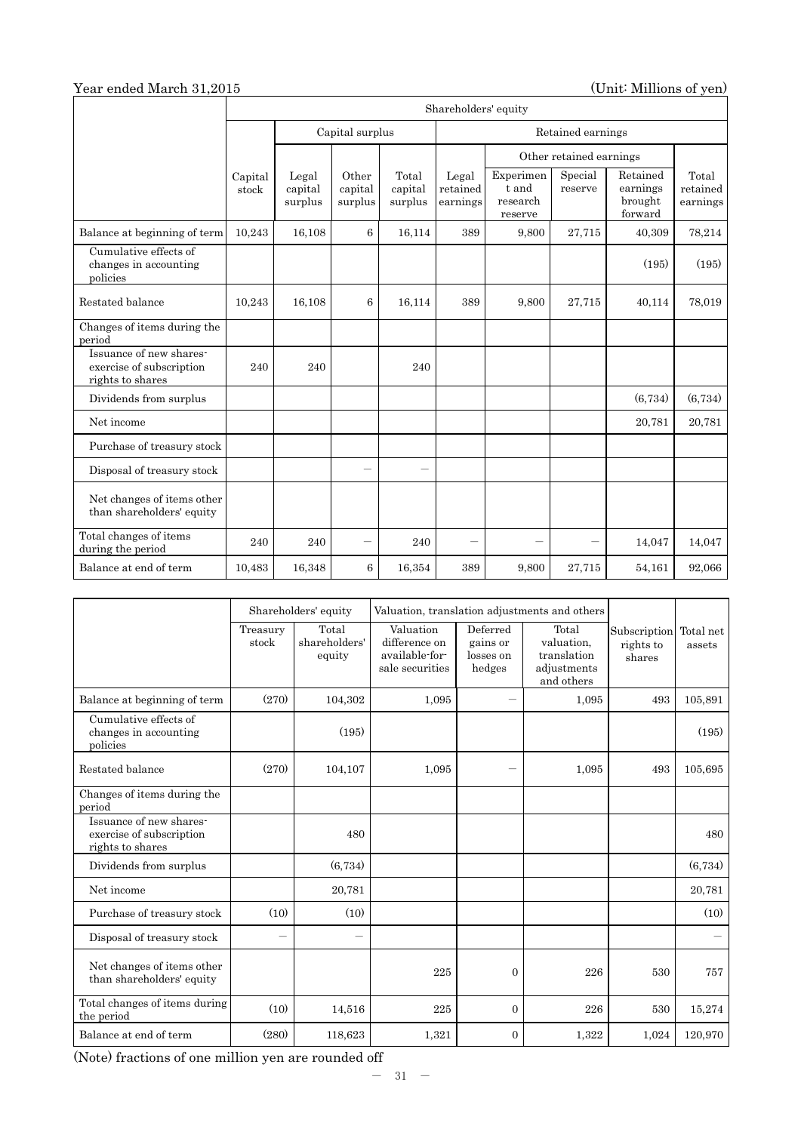# Year ended March 31,2015 (Unit: Millions of yen)

|                                                                         | Shareholders' equity |                             |                             |                             |                               |                                           |                         |                                            |                               |  |
|-------------------------------------------------------------------------|----------------------|-----------------------------|-----------------------------|-----------------------------|-------------------------------|-------------------------------------------|-------------------------|--------------------------------------------|-------------------------------|--|
|                                                                         |                      |                             | Capital surplus             |                             | Retained earnings             |                                           |                         |                                            |                               |  |
|                                                                         |                      |                             |                             |                             |                               |                                           | Other retained earnings |                                            |                               |  |
|                                                                         | Capital<br>stock     | Legal<br>capital<br>surplus | Other<br>capital<br>surplus | Total<br>capital<br>surplus | Legal<br>retained<br>earnings | Experimen<br>t and<br>research<br>reserve | Special<br>reserve      | Retained<br>earnings<br>brought<br>forward | Total<br>retained<br>earnings |  |
| Balance at beginning of term                                            | 10,243               | 16,108                      | 6                           | 16,114                      | 389                           | 9,800                                     | 27,715                  | 40,309                                     | 78,214                        |  |
| Cumulative effects of<br>changes in accounting<br>policies              |                      |                             |                             |                             |                               |                                           |                         | (195)                                      | (195)                         |  |
| Restated balance                                                        | 10,243               | 16,108                      | 6                           | 16,114                      | 389                           | 9.800                                     | 27,715                  | 40,114                                     | 78,019                        |  |
| Changes of items during the<br>period                                   |                      |                             |                             |                             |                               |                                           |                         |                                            |                               |  |
| Issuance of new shares-<br>exercise of subscription<br>rights to shares | 240                  | 240                         |                             | 240                         |                               |                                           |                         |                                            |                               |  |
| Dividends from surplus                                                  |                      |                             |                             |                             |                               |                                           |                         | (6,734)                                    | (6,734)                       |  |
| Net income                                                              |                      |                             |                             |                             |                               |                                           |                         | 20,781                                     | 20,781                        |  |
| Purchase of treasury stock                                              |                      |                             |                             |                             |                               |                                           |                         |                                            |                               |  |
| Disposal of treasury stock                                              |                      |                             |                             |                             |                               |                                           |                         |                                            |                               |  |
| Net changes of items other<br>than shareholders' equity                 |                      |                             |                             |                             |                               |                                           |                         |                                            |                               |  |
| Total changes of items<br>during the period                             | 240                  | 240                         |                             | 240                         |                               |                                           |                         | 14,047                                     | 14,047                        |  |
| Balance at end of term                                                  | 10.483               | 16,348                      | 6                           | 16,354                      | 389                           | 9,800                                     | 27,715                  | 54,161                                     | 92,066                        |  |

|                                                                         |                          | Shareholders' equity             | Valuation, translation adjustments and others                   |                                             |                                                                 |                                     |                     |
|-------------------------------------------------------------------------|--------------------------|----------------------------------|-----------------------------------------------------------------|---------------------------------------------|-----------------------------------------------------------------|-------------------------------------|---------------------|
|                                                                         | Treasury<br>stock        | Total<br>shareholders'<br>equity | Valuation<br>difference on<br>available-for-<br>sale securities | Deferred<br>gains or<br>losses on<br>hedges | Total<br>valuation,<br>translation<br>adjustments<br>and others | Subscription<br>rights to<br>shares | Total net<br>assets |
| Balance at beginning of term                                            | (270)                    | 104,302                          | 1,095                                                           | $\overline{\phantom{0}}$                    | 1,095                                                           | 493                                 | 105,891             |
| Cumulative effects of<br>changes in accounting<br>policies              |                          | (195)                            |                                                                 |                                             |                                                                 |                                     | (195)               |
| Restated balance                                                        | (270)                    | 104,107                          | 1,095                                                           |                                             | 1,095                                                           | 493                                 | 105,695             |
| Changes of items during the<br>period                                   |                          |                                  |                                                                 |                                             |                                                                 |                                     |                     |
| Issuance of new shares-<br>exercise of subscription<br>rights to shares |                          | 480                              |                                                                 |                                             |                                                                 |                                     | 480                 |
| Dividends from surplus                                                  |                          | (6,734)                          |                                                                 |                                             |                                                                 |                                     | (6,734)             |
| Net income                                                              |                          | 20,781                           |                                                                 |                                             |                                                                 |                                     | 20,781              |
| Purchase of treasury stock                                              | (10)                     | (10)                             |                                                                 |                                             |                                                                 |                                     | (10)                |
| Disposal of treasury stock                                              | $\overline{\phantom{0}}$ |                                  |                                                                 |                                             |                                                                 |                                     |                     |
| Net changes of items other<br>than shareholders' equity                 |                          |                                  | 225                                                             | $\overline{0}$                              | 226                                                             | 530                                 | 757                 |
| Total changes of items during<br>the period                             | (10)                     | 14,516                           | 225                                                             | $\mathbf{0}$                                | 226                                                             | 530                                 | 15,274              |
| Balance at end of term                                                  | (280)                    | 118,623                          | 1,321                                                           | $\Omega$                                    | 1,322                                                           | 1,024                               | 120,970             |